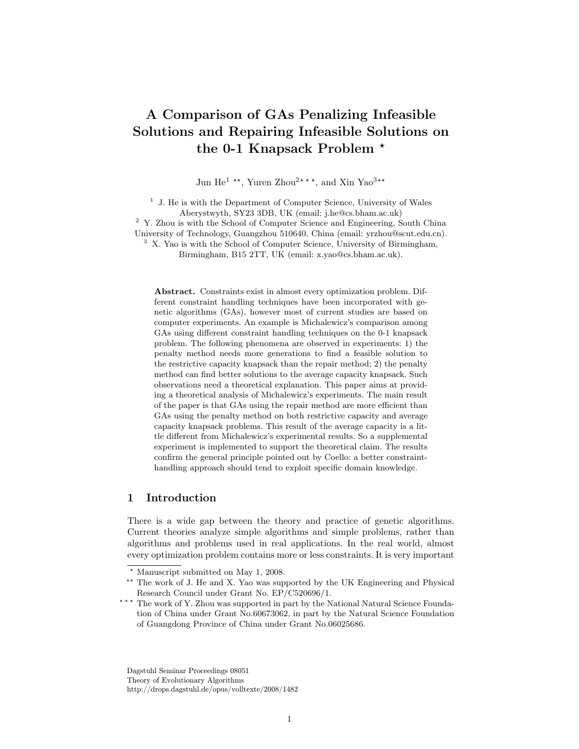# A Comparison of GAs Penalizing Infeasible Solutions and Repairing Infeasible Solutions on the 0-1 Knapsack Problem<sup>\*</sup>

Jun He<sup>1</sup> \*\*, Yuren Zhou<sup>2\*\*\*</sup>, and Xin Yao<sup>3\*\*</sup>

<sup>1</sup> J. He is with the Department of Computer Science, University of Wales Aberystwyth, SY23 3DB, UK (email: j.he@cs.bham.ac.uk)

<sup>2</sup> Y. Zhou is with the School of Computer Science and Engineering, South China University of Technology, Guangzhou 510640, China (email: yrzhou@scut.edu.cn). <sup>3</sup> X. Yao is with the School of Computer Science, University of Birmingham,

Birmingham, B15 2TT, UK (email: x.yao@cs.bham.ac.uk).

Abstract. Constraints exist in almost every optimization problem. Different constraint handling techniques have been incorporated with genetic algorithms (GAs), however most of current studies are based on computer experiments. An example is Michalewicz's comparison among GAs using different constraint handling techniques on the 0-1 knapsack problem. The following phenomena are observed in experiments: 1) the penalty method needs more generations to find a feasible solution to the restrictive capacity knapsack than the repair method; 2) the penalty method can find better solutions to the average capacity knapsack. Such observations need a theoretical explanation. This paper aims at providing a theoretical analysis of Michalewicz's experiments. The main result of the paper is that GAs using the repair method are more efficient than GAs using the penalty method on both restrictive capacity and average capacity knapsack problems. This result of the average capacity is a little different from Michalewicz's experimental results. So a supplemental experiment is implemented to support the theoretical claim. The results confirm the general principle pointed out by Coello: a better constrainthandling approach should tend to exploit specific domain knowledge.

# 1 Introduction

There is a wide gap between the theory and practice of genetic algorithms. Current theories analyze simple algorithms and simple problems, rather than algorithms and problems used in real applications. In the real world, almost every optimization problem contains more or less constraints. It is very important

Dagstuhl Seminar Proceedings 08051 Theory of Evolutionary Algorithms http://drops.dagstuhl.de/opus/volltexte/2008/1482

<sup>?</sup> Manuscript submitted on May 1, 2008.

<sup>\*\*</sup> The work of J. He and X. Yao was supported by the UK Engineering and Physical Research Council under Grant No. EP/C520696/1.

<sup>\*\*\*</sup> The work of Y. Zhou was supported in part by the National Natural Science Foundation of China under Grant No.60673062, in part by the Natural Science Foundation of Guangdong Province of China under Grant No.06025686.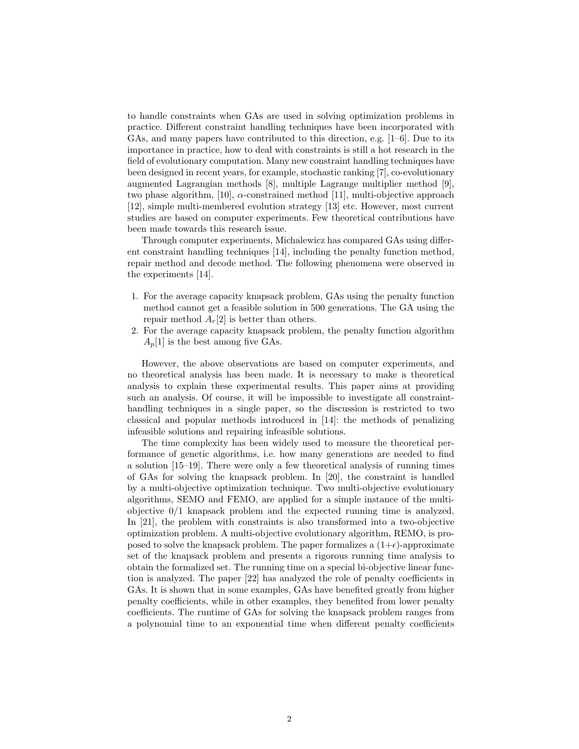to handle constraints when GAs are used in solving optimization problems in practice. Different constraint handling techniques have been incorporated with GAs, and many papers have contributed to this direction, e.g.  $[1-6]$ . Due to its importance in practice, how to deal with constraints is still a hot research in the field of evolutionary computation. Many new constraint handling techniques have been designed in recent years, for example, stochastic ranking [7], co-evolutionary augmented Lagrangian methods [8], multiple Lagrange multiplier method [9], two phase algorithm, [10],  $\alpha$ -constrained method [11], multi-objective approach [12], simple multi-membered evolution strategy [13] etc. However, most current studies are based on computer experiments. Few theoretical contributions have been made towards this research issue.

Through computer experiments, Michalewicz has compared GAs using different constraint handling techniques [14], including the penalty function method, repair method and decode method. The following phenomena were observed in the experiments [14].

- 1. For the average capacity knapsack problem, GAs using the penalty function method cannot get a feasible solution in 500 generations. The GA using the repair method  $A_r[2]$  is better than others.
- 2. For the average capacity knapsack problem, the penalty function algorithm  $A_n[1]$  is the best among five GAs.

However, the above observations are based on computer experiments, and no theoretical analysis has been made. It is necessary to make a theoretical analysis to explain these experimental results. This paper aims at providing such an analysis. Of course, it will be impossible to investigate all constrainthandling techniques in a single paper, so the discussion is restricted to two classical and popular methods introduced in [14]: the methods of penalizing infeasible solutions and repairing infeasible solutions.

The time complexity has been widely used to measure the theoretical performance of genetic algorithms, i.e. how many generations are needed to find a solution [15–19]. There were only a few theoretical analysis of running times of GAs for solving the knapsack problem. In [20], the constraint is handled by a multi-objective optimization technique. Two multi-objective evolutionary algorithms, SEMO and FEMO, are applied for a simple instance of the multiobjective 0/1 knapsack problem and the expected running time is analyzed. In [21], the problem with constraints is also transformed into a two-objective optimization problem. A multi-objective evolutionary algorithm, REMO, is proposed to solve the knapsack problem. The paper formalizes a  $(1+\epsilon)$ -approximate set of the knapsack problem and presents a rigorous running time analysis to obtain the formalized set. The running time on a special bi-objective linear function is analyzed. The paper [22] has analyzed the role of penalty coefficients in GAs. It is shown that in some examples, GAs have benefited greatly from higher penalty coefficients, while in other examples, they benefited from lower penalty coefficients. The runtime of GAs for solving the knapsack problem ranges from a polynomial time to an exponential time when different penalty coefficients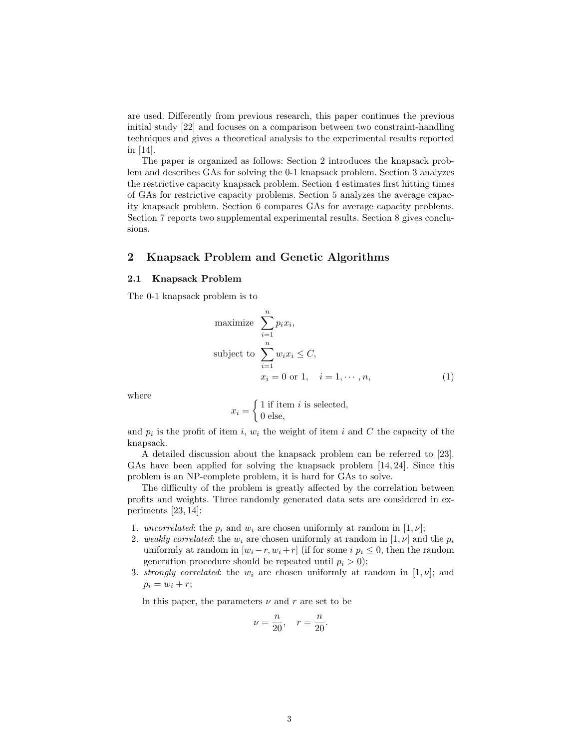are used. Differently from previous research, this paper continues the previous initial study [22] and focuses on a comparison between two constraint-handling techniques and gives a theoretical analysis to the experimental results reported in [14].

The paper is organized as follows: Section 2 introduces the knapsack problem and describes GAs for solving the 0-1 knapsack problem. Section 3 analyzes the restrictive capacity knapsack problem. Section 4 estimates first hitting times of GAs for restrictive capacity problems. Section 5 analyzes the average capacity knapsack problem. Section 6 compares GAs for average capacity problems. Section 7 reports two supplemental experimental results. Section 8 gives conclusions.

# 2 Knapsack Problem and Genetic Algorithms

#### 2.1 Knapsack Problem

The 0-1 knapsack problem is to

maximize 
$$
\sum_{i=1}^{n} p_i x_i,
$$
  
subject to 
$$
\sum_{i=1}^{n} w_i x_i \leq C,
$$

$$
x_i = 0 \text{ or } 1, \quad i = 1, \dots, n,
$$
 (1)

where

$$
x_i = \begin{cases} 1 \text{ if item } i \text{ is selected,} \\ 0 \text{ else,} \end{cases}
$$

and  $p_i$  is the profit of item i,  $w_i$  the weight of item i and C the capacity of the knapsack.

A detailed discussion about the knapsack problem can be referred to [23]. GAs have been applied for solving the knapsack problem [14, 24]. Since this problem is an NP-complete problem, it is hard for GAs to solve.

The difficulty of the problem is greatly affected by the correlation between profits and weights. Three randomly generated data sets are considered in experiments [23, 14]:

- 1. uncorrelated: the  $p_i$  and  $w_i$  are chosen uniformly at random in  $[1, \nu]$ ;
- 2. weakly correlated: the  $w_i$  are chosen uniformly at random in [1,  $\nu$ ] and the  $p_i$ uniformly at random in  $[w_i - r, w_i + r]$  (if for some  $i \, p_i \leq 0$ , then the random generation procedure should be repeated until  $p_i > 0$ ;
- 3. strongly correlated: the  $w_i$  are chosen uniformly at random in [1,  $\nu$ ]; and  $p_i = w_i + r;$

In this paper, the parameters  $\nu$  and r are set to be

$$
\nu = \frac{n}{20}, \quad r = \frac{n}{20}.
$$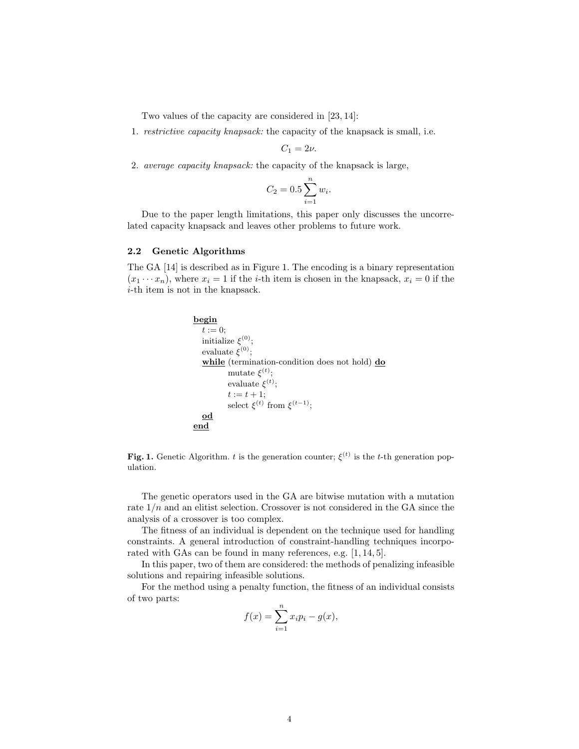Two values of the capacity are considered in [23, 14]:

1. restrictive capacity knapsack: the capacity of the knapsack is small, i.e.

 $C_1 = 2\nu$ .

2. average capacity knapsack: the capacity of the knapsack is large,

$$
C_2 = 0.5 \sum_{i=1}^{n} w_i.
$$

Due to the paper length limitations, this paper only discusses the uncorrelated capacity knapsack and leaves other problems to future work.

#### 2.2 Genetic Algorithms

The GA [14] is described as in Figure 1. The encoding is a binary representation  $(x_1 \cdots x_n)$ , where  $x_i = 1$  if the *i*-th item is chosen in the knapsack,  $x_i = 0$  if the i-th item is not in the knapsack.

```
begin
  t := 0:
   initialize \xi^{(0)};
   evaluate \xi^{(0)};
  while (termination-condition does not hold) do
           mutate \xi^{(t)};
           evaluate \xi^{(t)};
           t := t + 1;select \xi^{(t)} from \xi^{(t-1)};
  od
end
```
Fig. 1. Genetic Algorithm. t is the generation counter;  $\xi^{(t)}$  is the t-th generation population.

The genetic operators used in the GA are bitwise mutation with a mutation rate  $1/n$  and an elitist selection. Crossover is not considered in the GA since the analysis of a crossover is too complex.

The fitness of an individual is dependent on the technique used for handling constraints. A general introduction of constraint-handling techniques incorporated with GAs can be found in many references, e.g. [1, 14, 5].

In this paper, two of them are considered: the methods of penalizing infeasible solutions and repairing infeasible solutions.

For the method using a penalty function, the fitness of an individual consists of two parts:

$$
f(x) = \sum_{i=1}^{n} x_i p_i - g(x),
$$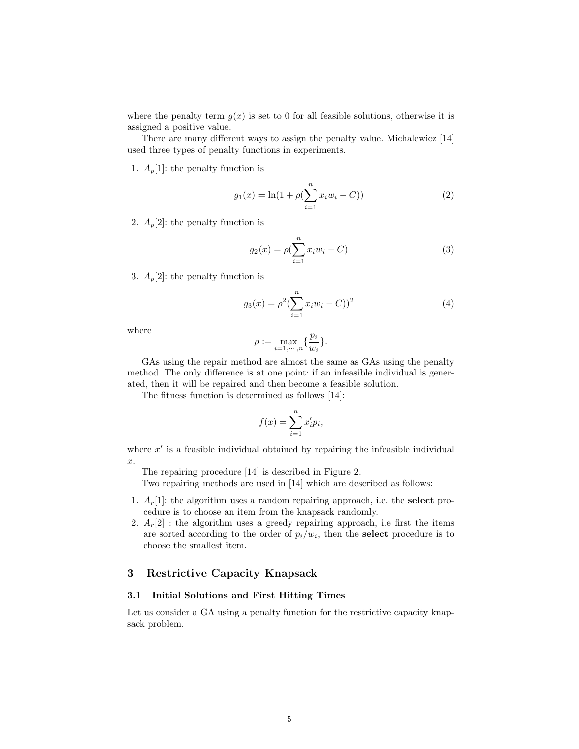where the penalty term  $g(x)$  is set to 0 for all feasible solutions, otherwise it is assigned a positive value.

There are many different ways to assign the penalty value. Michalewicz [14] used three types of penalty functions in experiments.

1.  $A_p[1]$ : the penalty function is

$$
g_1(x) = \ln(1 + \rho(\sum_{i=1}^n x_i w_i - C))
$$
\n(2)

2.  $A_p[2]$ : the penalty function is

$$
g_2(x) = \rho(\sum_{i=1}^n x_i w_i - C)
$$
 (3)

3.  $A_p[2]$ : the penalty function is

$$
g_3(x) = \rho^2 (\sum_{i=1}^n x_i w_i - C))^2
$$
 (4)

where

$$
\rho := \max_{i=1,\cdots,n} \{\frac{p_i}{w_i}\}.
$$

GAs using the repair method are almost the same as GAs using the penalty method. The only difference is at one point: if an infeasible individual is generated, then it will be repaired and then become a feasible solution.

The fitness function is determined as follows [14]:

$$
f(x) = \sum_{i=1}^{n} x_i' p_i,
$$

where  $x'$  is a feasible individual obtained by repairing the infeasible individual x.

The repairing procedure [14] is described in Figure 2.

Two repairing methods are used in [14] which are described as follows:

- 1.  $A_r[1]$ : the algorithm uses a random repairing approach, i.e. the **select** procedure is to choose an item from the knapsack randomly.
- 2.  $A_r[2]$ : the algorithm uses a greedy repairing approach, i.e first the items are sorted according to the order of  $p_i/w_i$ , then the **select** procedure is to choose the smallest item.

# 3 Restrictive Capacity Knapsack

#### 3.1 Initial Solutions and First Hitting Times

Let us consider a GA using a penalty function for the restrictive capacity knapsack problem.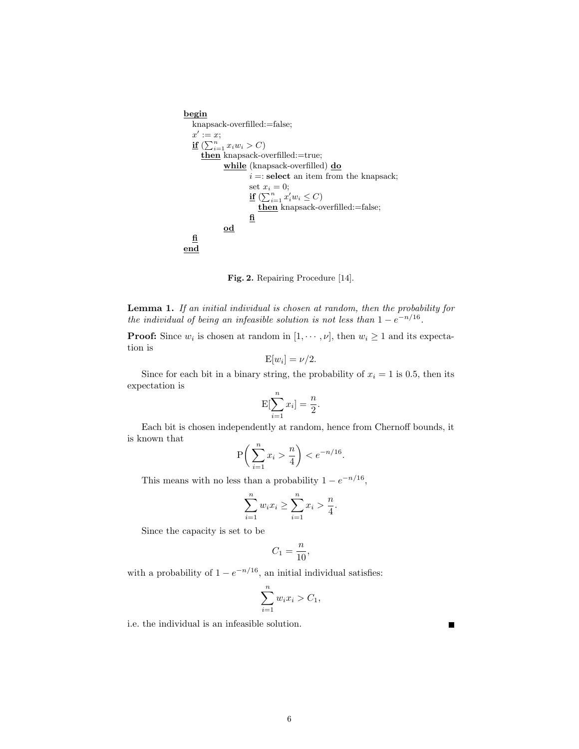```
begin
   knapsack-overfilled:=false;
   x' := x;if \left(\sum_{i=1}^n x_iw_i > C\right)then knapsack-overfilled:=true;
              \ensuremath{\text{while}} (knapsack-overfilled)<br> \underline{\ensuremath{\mathbf{do}}}i =: select an item from the knapsack;
                       set x_i = 0;
                        if (\sum_{i=1}^n x_i' w_i \leq C)then knapsack-overfilled:=false;
                       fi
              od
  fi
end
```
Fig. 2. Repairing Procedure [14].

Lemma 1. If an initial individual is chosen at random, then the probability for the individual of being an infeasible solution is not less than  $1 - e^{-n/16}$ .

**Proof:** Since  $w_i$  is chosen at random in  $[1, \dots, \nu]$ , then  $w_i \ge 1$  and its expectation is

$$
E[w_i] = \nu/2.
$$

Since for each bit in a binary string, the probability of  $x_i = 1$  is 0.5, then its expectation is

$$
E[\sum_{i=1}^{n} x_i] = \frac{n}{2}.
$$

Each bit is chosen independently at random, hence from Chernoff bounds, it is known that

$$
\mathbf{P}\bigg(\sum_{i=1}^n x_i > \frac{n}{4}\bigg) < e^{-n/16}.
$$

This means with no less than a probability  $1 - e^{-n/16}$ ,

$$
\sum_{i=1}^{n} w_i x_i \ge \sum_{i=1}^{n} x_i > \frac{n}{4}.
$$

Since the capacity is set to be

$$
C_1 = \frac{n}{10},
$$

with a probability of  $1 - e^{-n/16}$ , an initial individual satisfies:

$$
\sum_{i=1}^{n} w_i x_i > C_1,
$$

٠

i.e. the individual is an infeasible solution.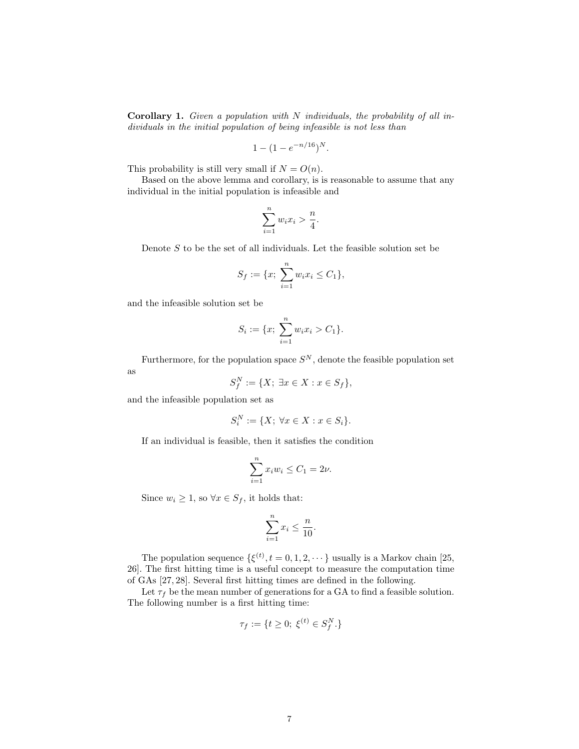**Corollary 1.** Given a population with  $N$  individuals, the probability of all individuals in the initial population of being infeasible is not less than

$$
1 - (1 - e^{-n/16})^N.
$$

This probability is still very small if  $N = O(n)$ .

Based on the above lemma and corollary, is is reasonable to assume that any individual in the initial population is infeasible and

$$
\sum_{i=1}^{n} w_i x_i > \frac{n}{4}.
$$

Denote  $S$  to be the set of all individuals. Let the feasible solution set be

$$
S_f := \{x; \sum_{i=1}^n w_i x_i \le C_1\},\
$$

and the infeasible solution set be

$$
S_i := \{x; \sum_{i=1}^n w_i x_i > C_1\}.
$$

Furthermore, for the population space  $S<sup>N</sup>$ , denote the feasible population set

$$
S_f^N := \{X; \; \exists x \in X : x \in S_f\},\
$$

and the infeasible population set as

as

$$
S_i^N := \{X; \,\forall x \in X : x \in S_i\}.
$$

If an individual is feasible, then it satisfies the condition

$$
\sum_{i=1}^{n} x_i w_i \le C_1 = 2\nu.
$$

Since  $w_i \geq 1$ , so  $\forall x \in S_f$ , it holds that:

$$
\sum_{i=1}^{n} x_i \le \frac{n}{10}.
$$

The population sequence  $\{\xi^{(t)}, t = 0, 1, 2, \cdots\}$  usually is a Markov chain [25, 26]. The first hitting time is a useful concept to measure the computation time of GAs [27, 28]. Several first hitting times are defined in the following.

Let  $\tau_f$  be the mean number of generations for a GA to find a feasible solution. The following number is a first hitting time:

$$
\tau_f := \{ t \ge 0; \ \xi^{(t)} \in S_f^N.\}
$$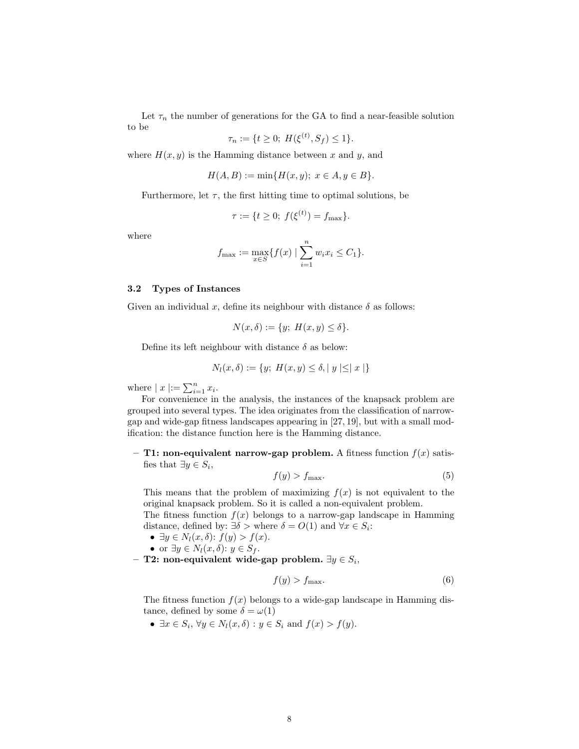Let  $\tau_n$  the number of generations for the GA to find a near-feasible solution to be

$$
\tau_n := \{ t \ge 0; \ H(\xi^{(t)}, S_f) \le 1 \}.
$$

where  $H(x, y)$  is the Hamming distance between x and y, and

$$
H(A, B) := \min\{H(x, y); \ x \in A, y \in B\}.
$$

Furthermore, let  $\tau$ , the first hitting time to optimal solutions, be

$$
\tau := \{ t \ge 0; \ f(\xi^{(t)}) = f_{\max} \}.
$$

where

$$
f_{\max} := \max_{x \in S} \{ f(x) \mid \sum_{i=1}^{n} w_i x_i \le C_1 \}.
$$

#### 3.2 Types of Instances

Given an individual x, define its neighbour with distance  $\delta$  as follows:

 $N(x, \delta) := \{y; H(x, y) \leq \delta\}.$ 

Define its left neighbour with distance  $\delta$  as below:

$$
N_l(x, \delta) := \{ y; H(x, y) \le \delta, |y| \le |x| \}
$$

where  $|x| := \sum_{i=1}^n x_i$ .

For convenience in the analysis, the instances of the knapsack problem are grouped into several types. The idea originates from the classification of narrowgap and wide-gap fitness landscapes appearing in [27, 19], but with a small modification: the distance function here is the Hamming distance.

– T1: non-equivalent narrow-gap problem. A fitness function  $f(x)$  satisfies that  $\exists y \in S_i$ ,

$$
f(y) > f_{\text{max}}.\tag{5}
$$

This means that the problem of maximizing  $f(x)$  is not equivalent to the original knapsack problem. So it is called a non-equivalent problem.

The fitness function  $f(x)$  belongs to a narrow-gap landscape in Hamming distance, defined by:  $\exists \delta$  > where  $\delta = O(1)$  and  $\forall x \in S_i$ :

- $\exists y \in N_l(x, \delta)$ :  $f(y) > f(x)$ .
- or  $\exists y \in N_l(x, \delta)$ :  $y \in S_f$ .
- $-$  T2: non-equivalent wide-gap problem.  $\exists y \in S_i,$

$$
f(y) > f_{\text{max}}.\tag{6}
$$

The fitness function  $f(x)$  belongs to a wide-gap landscape in Hamming distance, defined by some  $\delta = \omega(1)$ 

•  $\exists x \in S_i, \forall y \in N_l(x, \delta) : y \in S_i \text{ and } f(x) > f(y).$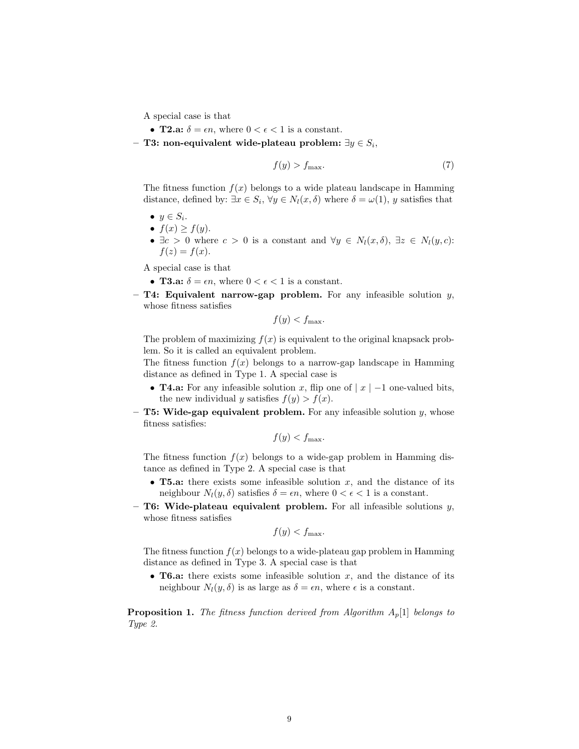A special case is that

- **T2.a:**  $\delta = \epsilon n$ , where  $0 < \epsilon < 1$  is a constant.
- T3: non-equivalent wide-plateau problem: ∃ $y \in S_i$ ,

$$
f(y) > f_{\text{max}}.\tag{7}
$$

The fitness function  $f(x)$  belongs to a wide plateau landscape in Hamming distance, defined by:  $\exists x \in S_i$ ,  $\forall y \in N_l(x, \delta)$  where  $\delta = \omega(1)$ , y satisfies that

- $y \in S_i$ .
- $f(x) \geq f(y)$ .
- $\exists c > 0$  where  $c > 0$  is a constant and  $\forall y \in N_l(x, \delta), \exists z \in N_l(y, c)$ :  $f(z) = f(x)$ .

A special case is that

- **T3.a:**  $\delta = \epsilon n$ , where  $0 < \epsilon < 1$  is a constant.
- $-$  T4: Equivalent narrow-gap problem. For any infeasible solution  $y$ , whose fitness satisfies

$$
f(y) < f_{\max}.
$$

The problem of maximizing  $f(x)$  is equivalent to the original knapsack problem. So it is called an equivalent problem.

The fitness function  $f(x)$  belongs to a narrow-gap landscape in Hamming distance as defined in Type 1. A special case is

- **T4.a:** For any infeasible solution x, flip one of  $|x|$  –1 one-valued bits, the new individual y satisfies  $f(y) > f(x)$ .
- $-$  T5: Wide-gap equivalent problem. For any infeasible solution y, whose fitness satisfies:

 $f(y) < f_{\text{max}}$ .

The fitness function  $f(x)$  belongs to a wide-gap problem in Hamming distance as defined in Type 2. A special case is that

- **T5.a:** there exists some infeasible solution x, and the distance of its neighbour  $N_l(y, \delta)$  satisfies  $\delta = \epsilon n$ , where  $0 < \epsilon < 1$  is a constant.
- T6: Wide-plateau equivalent problem. For all infeasible solutions  $y$ , whose fitness satisfies

$$
f(y) < f_{\max}.
$$

The fitness function  $f(x)$  belongs to a wide-plateau gap problem in Hamming distance as defined in Type 3. A special case is that

• **T6.a:** there exists some infeasible solution  $x$ , and the distance of its neighbour  $N_l(y, \delta)$  is as large as  $\delta = \epsilon n$ , where  $\epsilon$  is a constant.

**Proposition 1.** The fitness function derived from Algorithm  $A_p[1]$  belongs to Type 2.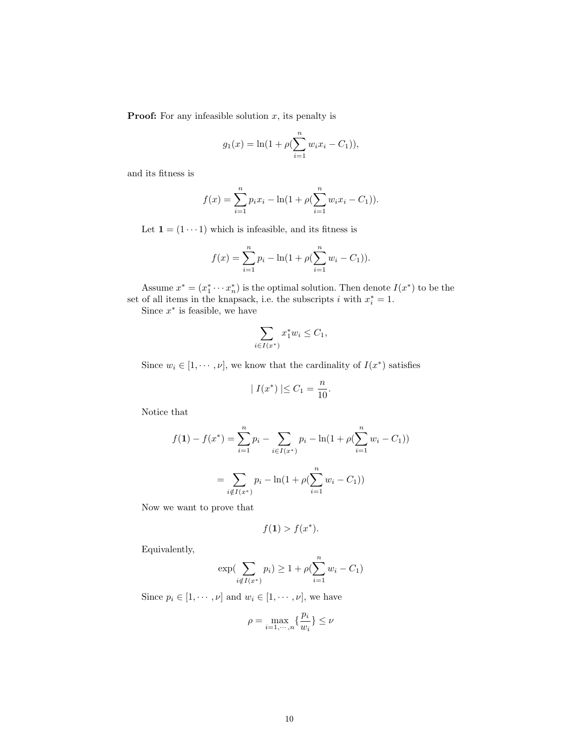**Proof:** For any infeasible solution  $x$ , its penalty is

$$
g_1(x) = \ln(1 + \rho(\sum_{i=1}^n w_i x_i - C_1)),
$$

and its fitness is

$$
f(x) = \sum_{i=1}^{n} p_i x_i - \ln(1 + \rho(\sum_{i=1}^{n} w_i x_i - C_1)).
$$

Let  $\mathbf{1} = (1 \cdots 1)$  which is infeasible, and its fitness is

$$
f(x) = \sum_{i=1}^{n} p_i - \ln(1 + \rho(\sum_{i=1}^{n} w_i - C_1)).
$$

Assume  $x^* = (x_1^* \cdots x_n^*)$  is the optimal solution. Then denote  $I(x^*)$  to be the set of all items in the knapsack, i.e. the subscripts i with  $x_i^* = 1$ .

Since  $x^*$  is feasible, we have

$$
\sum_{i \in I(x^*)} x_1^* w_i \le C_1,
$$

Since  $w_i \in [1, \dots, \nu]$ , we know that the cardinality of  $I(x^*)$  satisfies

$$
|I(x^*)| \leq C_1 = \frac{n}{10}.
$$

Notice that

$$
f(\mathbf{1}) - f(x^*) = \sum_{i=1}^n p_i - \sum_{i \in I(x^*)} p_i - \ln(1 + \rho(\sum_{i=1}^n w_i - C_1))
$$

$$
= \sum_{i \notin I(x^*)} p_i - \ln(1 + \rho(\sum_{i=1}^n w_i - C_1))
$$

Now we want to prove that

$$
f(\mathbf{1}) > f(x^*).
$$

Equivalently,

$$
\exp\left(\sum_{i \notin I(x^*)} p_i\right) \ge 1 + \rho \left(\sum_{i=1}^n w_i - C_1\right)
$$

Since  $p_i \in [1, \dots, \nu]$  and  $w_i \in [1, \dots, \nu]$ , we have

$$
\rho=\max_{i=1,\cdots,n}\{\frac{p_i}{w_i}\}\leq \nu
$$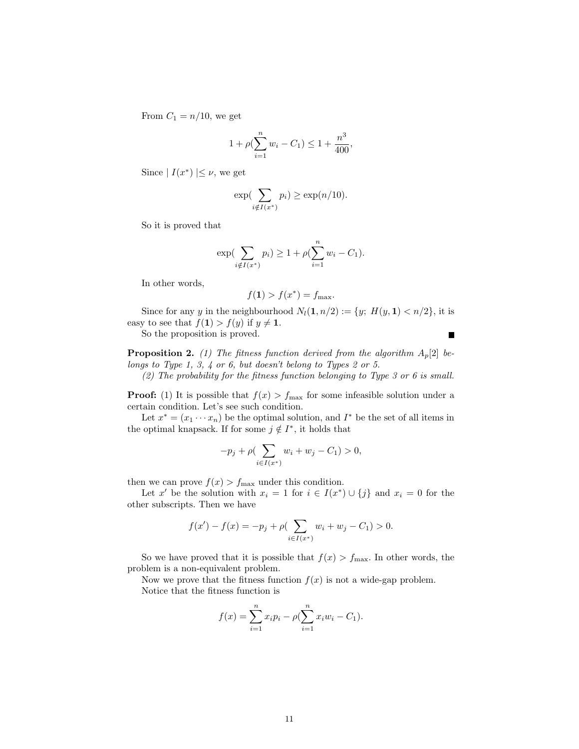From  $C_1 = n/10$ , we get

$$
1 + \rho \left(\sum_{i=1}^{n} w_i - C_1\right) \le 1 + \frac{n^3}{400},
$$

Since  $|I(x^*)| \leq \nu$ , we get

$$
\exp(\sum_{i \notin I(x^*)} p_i) \ge \exp(n/10).
$$

So it is proved that

$$
\exp(\sum_{i \notin I(x^*)} p_i) \ge 1 + \rho(\sum_{i=1}^n w_i - C_1).
$$

In other words,

$$
f(\mathbf{1}) > f(x^*) = f_{\max}.
$$

Since for any y in the neighbourhood  $N_l(1, n/2) := \{y; H(y, 1) < n/2\}$ , it is easy to see that  $f(1) > f(y)$  if  $y \neq 1$ .

So the proposition is proved.

**Proposition 2.** (1) The fitness function derived from the algorithm  $A_p[2]$  belongs to Type 1, 3, 4 or 6, but doesn't belong to Types 2 or 5.

 $(2)$  The probability for the fitness function belonging to Type 3 or 6 is small.

**Proof:** (1) It is possible that  $f(x) > f_{\text{max}}$  for some infeasible solution under a certain condition. Let's see such condition.

Let  $x^* = (x_1 \cdots x_n)$  be the optimal solution, and  $I^*$  be the set of all items in the optimal knapsack. If for some  $j \notin I^*$ , it holds that

$$
-p_j + \rho \left( \sum_{i \in I(x^*)} w_i + w_j - C_1 \right) > 0,
$$

then we can prove  $f(x) > f_{\text{max}}$  under this condition.

Let x' be the solution with  $x_i = 1$  for  $i \in I(x^*) \cup \{j\}$  and  $x_i = 0$  for the other subscripts. Then we have

$$
f(x') - f(x) = -p_j + \rho \left( \sum_{i \in I(x^*)} w_i + w_j - C_1 \right) > 0.
$$

So we have proved that it is possible that  $f(x) > f_{\text{max}}$ . In other words, the problem is a non-equivalent problem.

Now we prove that the fitness function  $f(x)$  is not a wide-gap problem. Notice that the fitness function is

$$
f(x) = \sum_{i=1}^{n} x_i p_i - \rho (\sum_{i=1}^{n} x_i w_i - C_1).
$$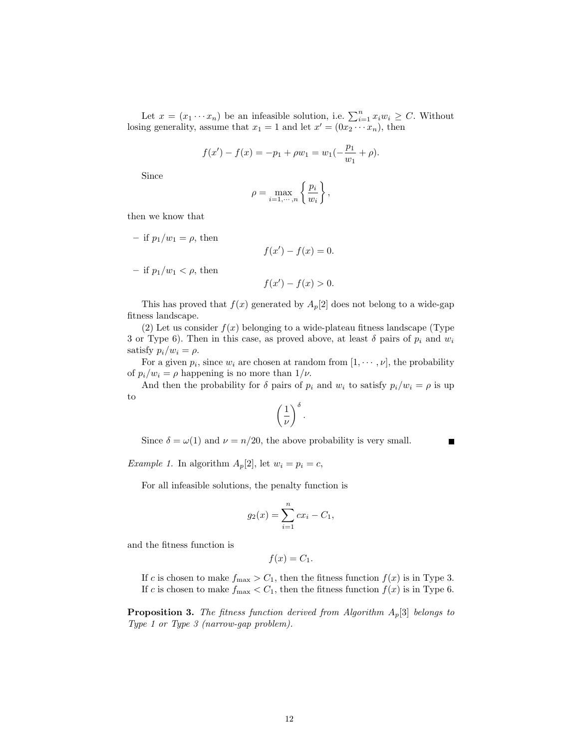Let  $x = (x_1 \cdots x_n)$  be an infeasible solution, i.e.  $\sum_{i=1}^n x_i w_i \ge C$ . Without losing generality, assume that  $x_1 = 1$  and let  $x' = (0x_2 \cdots x_n)$ , then

$$
f(x') - f(x) = -p_1 + \rho w_1 = w_1(-\frac{p_1}{w_1} + \rho).
$$

Since

$$
\rho = \max_{i=1,\cdots,n} \left\{ \frac{p_i}{w_i} \right\},\,
$$

then we know that

- if 
$$
p_1/w_1 = \rho
$$
, then  
\n $f(x') - f(x) = 0$ .  
\n- if  $p_1/w_1 < \rho$ , then  
\n $f(x') - f(x) > 0$ .

This has proved that  $f(x)$  generated by  $A_p[2]$  does not belong to a wide-gap fitness landscape.

(2) Let us consider  $f(x)$  belonging to a wide-plateau fitness landscape (Type 3 or Type 6). Then in this case, as proved above, at least  $\delta$  pairs of  $p_i$  and  $w_i$ satisfy  $p_i/w_i = \rho$ .

For a given  $p_i$ , since  $w_i$  are chosen at random from  $[1, \dots, \nu]$ , the probability of  $p_i/w_i = \rho$  happening is no more than  $1/\nu$ .

And then the probability for  $\delta$  pairs of  $p_i$  and  $w_i$  to satisfy  $p_i/w_i = \rho$  is up to

$$
\left(\frac{1}{\nu}\right)^{\delta}.
$$

Since  $\delta = \omega(1)$  and  $\nu = n/20$ , the above probability is very small.

*Example 1.* In algorithm  $A_p[2]$ , let  $w_i = p_i = c$ ,

For all infeasible solutions, the penalty function is

$$
g_2(x) = \sum_{i=1}^{n} cx_i - C_1,
$$

and the fitness function is

$$
f(x) = C_1.
$$

If c is chosen to make  $f_{\text{max}} > C_1$ , then the fitness function  $f(x)$  is in Type 3. If c is chosen to make  $f_{\text{max}} < C_1$ , then the fitness function  $f(x)$  is in Type 6.

**Proposition 3.** The fitness function derived from Algorithm  $A_p[3]$  belongs to Type 1 or Type 3 (narrow-gap problem).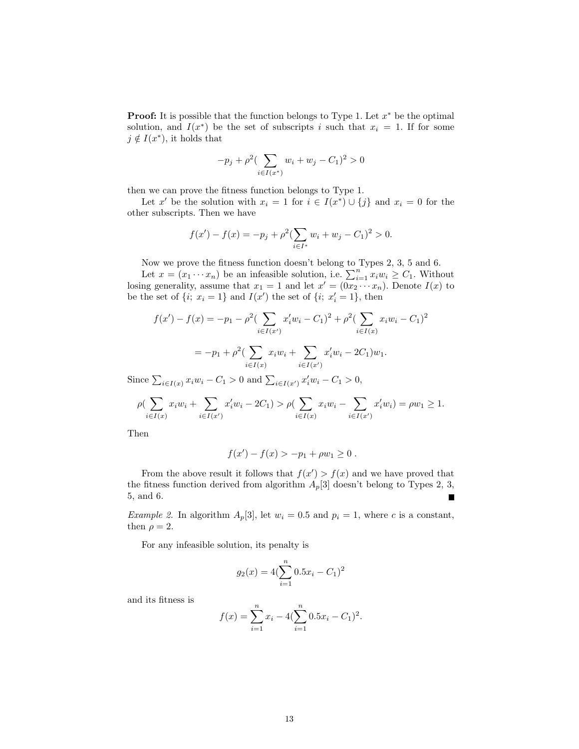**Proof:** It is possible that the function belongs to Type 1. Let  $x^*$  be the optimal solution, and  $I(x^*)$  be the set of subscripts i such that  $x_i = 1$ . If for some  $j \notin I(x^*)$ , it holds that

$$
-p_j + \rho^2 \left( \sum_{i \in I(x^*)} w_i + w_j - C_1 \right)^2 > 0
$$

then we can prove the fitness function belongs to Type 1.

Let x' be the solution with  $x_i = 1$  for  $i \in I(x^*) \cup \{j\}$  and  $x_i = 0$  for the other subscripts. Then we have

$$
f(x') - f(x) = -p_j + \rho^2 \left( \sum_{i \in I^*} w_i + w_j - C_1 \right)^2 > 0.
$$

Now we prove the fitness function doesn't belong to Types 2, 3, 5 and 6.

Let  $x = (x_1 \cdots x_n)$  be an infeasible solution, i.e.  $\sum_{i=1}^n x_i w_i \ge C_1$ . Without losing generality, assume that  $x_1 = 1$  and let  $x' = (0x_2 \cdots x_n)$ . Denote  $I(x)$  to be the set of  $\{i; x_i = 1\}$  and  $I(x')$  the set of  $\{i; x'_i = 1\}$ , then

$$
f(x') - f(x) = -p_1 - \rho^2 \left( \sum_{i \in I(x')} x'_i w_i - C_1 \right)^2 + \rho^2 \left( \sum_{i \in I(x)} x_i w_i - C_1 \right)^2
$$

$$
= -p_1 + \rho^2 \left( \sum_{i \in I(x)} x_i w_i + \sum_{i \in I(x')} x'_i w_i - 2C_1 \right) w_1.
$$
Since  $\sum_{i \in I(x)} x_i w_i - C_1 > 0$  and  $\sum_{i \in I(x')} x'_i w_i - C_1 > 0$ ,

$$
\rho(\sum_{i \in I(x)} x_i w_i + \sum_{i \in I(x')} x'_i w_i - 2C_1) > \rho(\sum_{i \in I(x)} x_i w_i - \sum_{i \in I(x')} x'_i w_i) = \rho w_1 \ge 1.
$$

Then

$$
f(x') - f(x) > -p_1 + \rho w_1 \ge 0.
$$

From the above result it follows that  $f(x') > f(x)$  and we have proved that the fitness function derived from algorithm  $A_p[3]$  doesn't belong to Types 2, 3, 5, and 6. П

Example 2. In algorithm  $A_p[3]$ , let  $w_i = 0.5$  and  $p_i = 1$ , where c is a constant, then  $\rho = 2$ .

For any infeasible solution, its penalty is

$$
g_2(x) = 4(\sum_{i=1}^{n} 0.5x_i - C_1)^2
$$

and its fitness is

$$
f(x) = \sum_{i=1}^{n} x_i - 4(\sum_{i=1}^{n} 0.5x_i - C_1)^2.
$$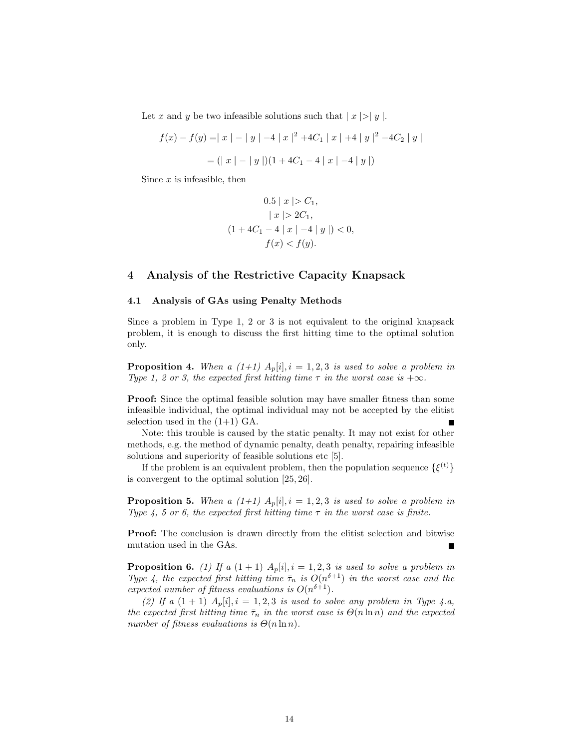Let x and y be two infeasible solutions such that  $|x| > |y|$ .

$$
f(x) - f(y) = |x| - |y| - 4 |x|^2 + 4C_1 |x| + 4 |y|^2 - 4C_2 |y|
$$
  
= (|x| - |y|)(1 + 4C\_1 - 4 |x| - 4 |y|)

Since  $x$  is infeasible, then

$$
0.5 \mid x \mid > C_1,
$$
  
\n
$$
\mid x \mid > 2C_1,
$$
  
\n
$$
(1 + 4C_1 - 4 \mid x \mid -4 \mid y \mid) < 0,
$$
  
\n
$$
f(x) < f(y).
$$

# 4 Analysis of the Restrictive Capacity Knapsack

#### 4.1 Analysis of GAs using Penalty Methods

Since a problem in Type 1, 2 or 3 is not equivalent to the original knapsack problem, it is enough to discuss the first hitting time to the optimal solution only.

**Proposition 4.** When a  $(1+1)$   $A_p[i], i = 1, 2, 3$  is used to solve a problem in Type 1, 2 or 3, the expected first hitting time  $\tau$  in the worst case is  $+\infty$ .

**Proof:** Since the optimal feasible solution may have smaller fitness than some infeasible individual, the optimal individual may not be accepted by the elitist selection used in the  $(1+1)$  GA.

Note: this trouble is caused by the static penalty. It may not exist for other methods, e.g. the method of dynamic penalty, death penalty, repairing infeasible solutions and superiority of feasible solutions etc [5].

If the problem is an equivalent problem, then the population sequence  $\{\xi^{(t)}\}$ is convergent to the optimal solution [25, 26].

**Proposition 5.** When a  $(1+1)$   $A_p[i], i = 1, 2, 3$  is used to solve a problem in Type 4, 5 or 6, the expected first hitting time  $\tau$  in the worst case is finite.

**Proof:** The conclusion is drawn directly from the elitist selection and bitwise mutation used in the GAs.

**Proposition 6.** (1) If a  $(1 + 1)$   $A_p[i], i = 1, 2, 3$  is used to solve a problem in Type 4, the expected first hitting time  $\bar{\tau}_n$  is  $O(n^{\delta+1})$  in the worst case and the expected number of fitness evaluations is  $O(n^{\delta+1})$ .

(2) If a  $(1 + 1)$   $A_p[i], i = 1, 2, 3$  is used to solve any problem in Type 4.a, the expected first hitting time  $\bar{\tau}_n$  in the worst case is  $\Theta(n \ln n)$  and the expected number of fitness evaluations is  $\Theta(n \ln n)$ .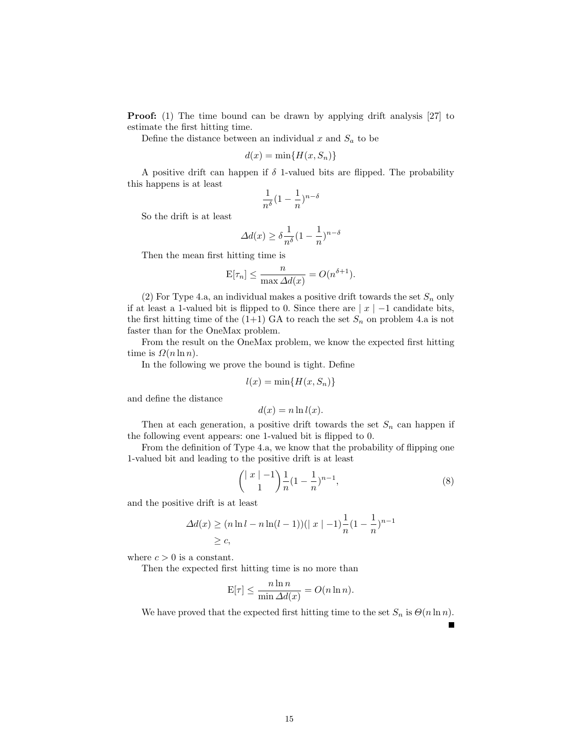**Proof:** (1) The time bound can be drawn by applying drift analysis [27] to estimate the first hitting time.

Define the distance between an individual  $x$  and  $S_a$  to be

$$
d(x) = \min\{H(x, S_n)\}\
$$

A positive drift can happen if  $\delta$  1-valued bits are flipped. The probability this happens is at least

$$
\frac{1}{n^{\delta}}(1-\frac{1}{n})^{n-\delta}
$$

So the drift is at least

$$
\varDelta d(x)\geq \delta \frac{1}{n^\delta}(1-\frac{1}{n})^{n-\delta}
$$

Then the mean first hitting time is

$$
\mathcal{E}[\tau_n] \le \frac{n}{\max \Delta d(x)} = O(n^{\delta+1}).
$$

(2) For Type 4.a, an individual makes a positive drift towards the set  $S_n$  only if at least a 1-valued bit is flipped to 0. Since there are  $|x|$  –1 candidate bits, the first hitting time of the  $(1+1)$  GA to reach the set  $S_n$  on problem 4.a is not faster than for the OneMax problem.

From the result on the OneMax problem, we know the expected first hitting time is  $\Omega(n \ln n)$ .

In the following we prove the bound is tight. Define

$$
l(x) = \min\{H(x, S_n)\}\
$$

and define the distance

$$
d(x) = n \ln l(x).
$$

Then at each generation, a positive drift towards the set  $S_n$  can happen if the following event appears: one 1-valued bit is flipped to 0.

From the definition of Type 4.a, we know that the probability of flipping one 1-valued bit and leading to the positive drift is at least

$$
\binom{|x|-1}{1} \frac{1}{n} (1 - \frac{1}{n})^{n-1},\tag{8}
$$

and the positive drift is at least

$$
\Delta d(x) \ge (n \ln l - n \ln(l - 1)) (|x| - 1) \frac{1}{n} (1 - \frac{1}{n})^{n-1}
$$
  
 
$$
\ge c,
$$

where  $c > 0$  is a constant.

Then the expected first hitting time is no more than

$$
E[\tau] \le \frac{n \ln n}{\min \Delta d(x)} = O(n \ln n).
$$

We have proved that the expected first hitting time to the set  $S_n$  is  $\Theta(n \ln n)$ .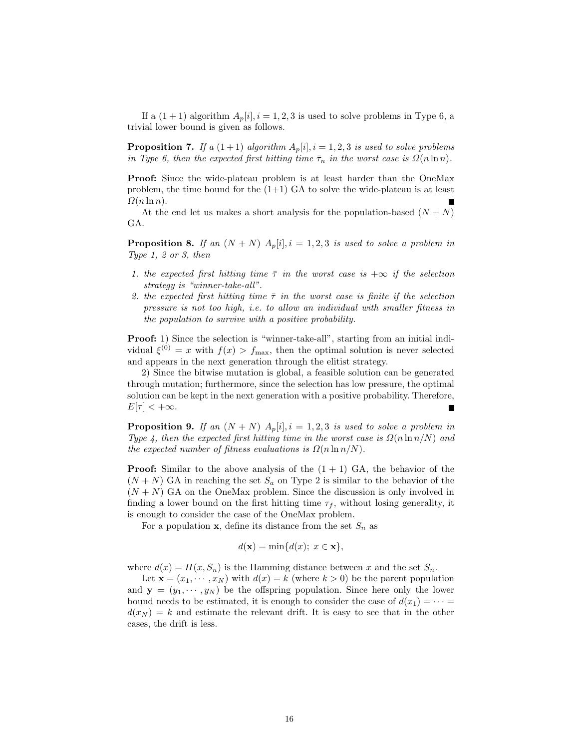If a  $(1 + 1)$  algorithm  $A_p[i], i = 1, 2, 3$  is used to solve problems in Type 6, a trivial lower bound is given as follows.

**Proposition 7.** If a  $(1+1)$  algorithm  $A_p[i], i = 1, 2, 3$  is used to solve problems in Type 6, then the expected first hitting time  $\bar{\tau}_n$  in the worst case is  $\Omega(n \ln n)$ .

Proof: Since the wide-plateau problem is at least harder than the OneMax problem, the time bound for the  $(1+1)$  GA to solve the wide-plateau is at least  $\Omega(n \ln n)$ .

At the end let us makes a short analysis for the population-based  $(N + N)$ GA.

**Proposition 8.** If an  $(N + N)$   $A_p[i], i = 1, 2, 3$  is used to solve a problem in Type 1, 2 or 3, then

- 1. the expected first hitting time  $\bar{\tau}$  in the worst case is  $+\infty$  if the selection strategy is "winner-take-all".
- 2. the expected first hitting time  $\bar{\tau}$  in the worst case is finite if the selection pressure is not too high, i.e. to allow an individual with smaller fitness in the population to survive with a positive probability.

Proof: 1) Since the selection is "winner-take-all", starting from an initial individual  $\xi^{(0)} = x$  with  $f(x) > f_{\text{max}}$ , then the optimal solution is never selected and appears in the next generation through the elitist strategy.

2) Since the bitwise mutation is global, a feasible solution can be generated through mutation; furthermore, since the selection has low pressure, the optimal solution can be kept in the next generation with a positive probability. Therefore,  $E[\tau] < +\infty$ .

**Proposition 9.** If an  $(N + N)$   $A_p[i], i = 1, 2, 3$  is used to solve a problem in Type 4, then the expected first hitting time in the worst case is  $\Omega(n \ln n/N)$  and the expected number of fitness evaluations is  $\Omega(n \ln n/N)$ .

**Proof:** Similar to the above analysis of the  $(1 + 1)$  GA, the behavior of the  $(N + N)$  GA in reaching the set  $S_a$  on Type 2 is similar to the behavior of the  $(N + N)$  GA on the OneMax problem. Since the discussion is only involved in finding a lower bound on the first hitting time  $\tau_f$ , without losing generality, it is enough to consider the case of the OneMax problem.

For a population **x**, define its distance from the set  $S_n$  as

$$
d(\mathbf{x}) = \min\{d(x); \ x \in \mathbf{x}\},\
$$

where  $d(x) = H(x, S_n)$  is the Hamming distance between x and the set  $S_n$ .

Let  $\mathbf{x} = (x_1, \dots, x_N)$  with  $d(x) = k$  (where  $k > 0$ ) be the parent population and  $y = (y_1, \dots, y_N)$  be the offspring population. Since here only the lower bound needs to be estimated, it is enough to consider the case of  $d(x_1) = \cdots =$  $d(x_N) = k$  and estimate the relevant drift. It is easy to see that in the other cases, the drift is less.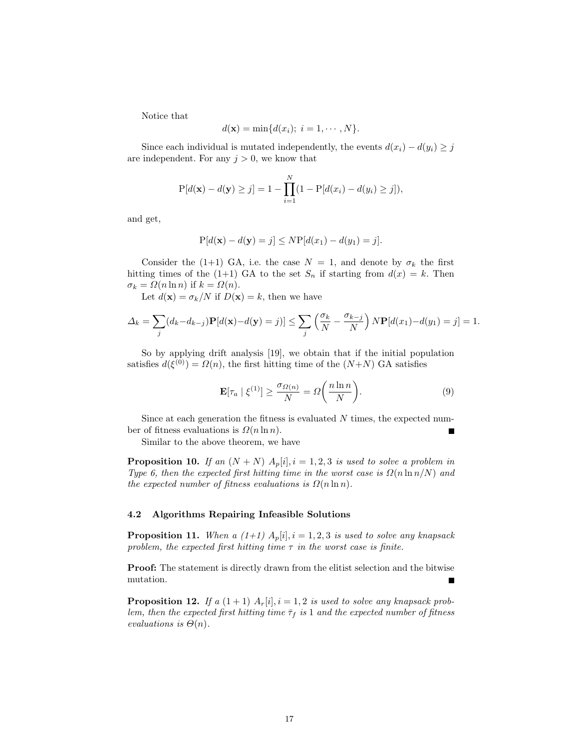Notice that

$$
d(\mathbf{x}) = \min\{d(x_i); i = 1, \cdots, N\}.
$$

Since each individual is mutated independently, the events  $d(x_i) - d(y_i) \geq j$ are independent. For any  $j > 0$ , we know that

$$
P[d(\mathbf{x}) - d(\mathbf{y}) \ge j] = 1 - \prod_{i=1}^{N} (1 - P[d(x_i) - d(y_i) \ge j]),
$$

and get,

$$
P[d(\mathbf{x}) - d(\mathbf{y}) = j] \leq NP[d(x_1) - d(y_1) = j].
$$

Consider the (1+1) GA, i.e. the case  $N = 1$ , and denote by  $\sigma_k$  the first hitting times of the (1+1) GA to the set  $S_n$  if starting from  $d(x) = k$ . Then  $\sigma_k = \Omega(n \ln n)$  if  $k = \Omega(n)$ .

Let  $d(\mathbf{x}) = \sigma_k/N$  if  $D(\mathbf{x}) = k$ , then we have

$$
\Delta_k = \sum_j (d_k - d_{k-j}) \mathbf{P}[d(\mathbf{x}) - d(\mathbf{y}) = j] \leq \sum_j \left(\frac{\sigma_k}{N} - \frac{\sigma_{k-j}}{N}\right) N \mathbf{P}[d(x_1) - d(y_1) = j] = 1.
$$

So by applying drift analysis [19], we obtain that if the initial population satisfies  $d(\xi^{(0)}) = \Omega(n)$ , the first hitting time of the  $(N+N)$  GA satisfies

$$
\mathbf{E}[\tau_a \mid \xi^{(1)}] \ge \frac{\sigma_{\Omega(n)}}{N} = \Omega\left(\frac{n \ln n}{N}\right). \tag{9}
$$

Since at each generation the fitness is evaluated N times, the expected number of fitness evaluations is  $\Omega(n \ln n)$ .

Similar to the above theorem, we have

**Proposition 10.** If an  $(N + N)$   $A_p[i], i = 1, 2, 3$  is used to solve a problem in Type 6, then the expected first hitting time in the worst case is  $\Omega(n \ln n/N)$  and the expected number of fitness evaluations is  $\Omega(n \ln n)$ .

#### 4.2 Algorithms Repairing Infeasible Solutions

**Proposition 11.** When a  $(1+1)$   $A_p[i], i = 1, 2, 3$  is used to solve any knapsack problem, the expected first hitting time  $\tau$  in the worst case is finite.

Proof: The statement is directly drawn from the elitist selection and the bitwise mutation.

**Proposition 12.** If a  $(1+1)$   $A_r[i], i = 1, 2$  is used to solve any knapsack problem, then the expected first hitting time  $\bar{\tau}_f$  is 1 and the expected number of fitness evaluations is  $\Theta(n)$ .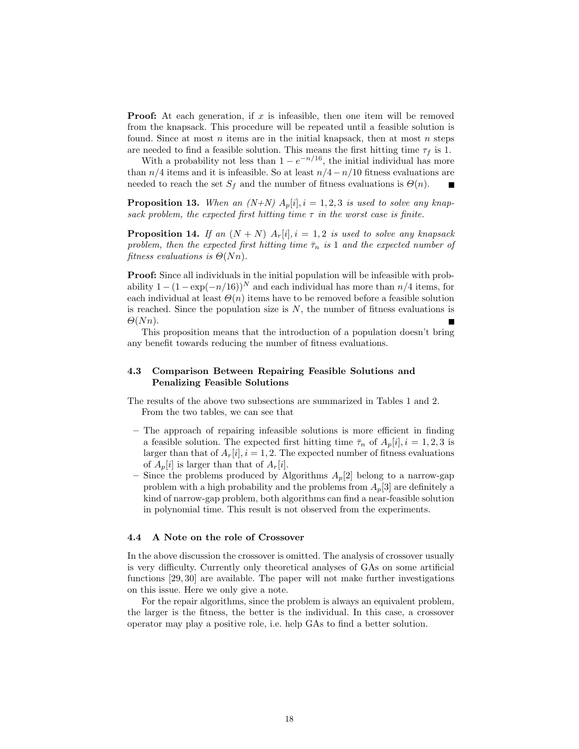**Proof:** At each generation, if x is infeasible, then one item will be removed from the knapsack. This procedure will be repeated until a feasible solution is found. Since at most  $n$  items are in the initial knapsack, then at most  $n$  steps are needed to find a feasible solution. This means the first hitting time  $\tau_f$  is 1.

With a probability not less than  $1 - e^{-n/16}$ , the initial individual has more than  $n/4$  items and it is infeasible. So at least  $n/4-n/10$  fitness evaluations are needed to reach the set  $S_f$  and the number of fitness evaluations is  $\Theta(n)$ . П

**Proposition 13.** When an  $(N+N)$   $A_p[i], i = 1, 2, 3$  is used to solve any knapsack problem, the expected first hitting time  $\tau$  in the worst case is finite.

**Proposition 14.** If an  $(N + N)$   $A_r[i], i = 1, 2$  is used to solve any knapsack problem, then the expected first hitting time  $\bar{\tau}_n$  is 1 and the expected number of fitness evaluations is  $\Theta(Nn)$ .

Proof: Since all individuals in the initial population will be infeasible with probability  $1 - (1 - \exp(-n/16))^N$  and each individual has more than  $n/4$  items, for each individual at least  $\Theta(n)$  items have to be removed before a feasible solution is reached. Since the population size is  $N$ , the number of fitness evaluations is  $\Theta(Nn)$ .

This proposition means that the introduction of a population doesn't bring any benefit towards reducing the number of fitness evaluations.

# 4.3 Comparison Between Repairing Feasible Solutions and Penalizing Feasible Solutions

The results of the above two subsections are summarized in Tables 1 and 2. From the two tables, we can see that

- The approach of repairing infeasible solutions is more efficient in finding a feasible solution. The expected first hitting time  $\bar{\tau}_n$  of  $A_p[i], i = 1, 2, 3$  is larger than that of  $A_r[i], i = 1, 2$ . The expected number of fitness evaluations of  $A_n[i]$  is larger than that of  $A_r[i]$ .
- Since the problems produced by Algorithms  $A_p[2]$  belong to a narrow-gap problem with a high probability and the problems from  $A_p[3]$  are definitely a kind of narrow-gap problem, both algorithms can find a near-feasible solution in polynomial time. This result is not observed from the experiments.

#### 4.4 A Note on the role of Crossover

In the above discussion the crossover is omitted. The analysis of crossover usually is very difficulty. Currently only theoretical analyses of GAs on some artificial functions [29, 30] are available. The paper will not make further investigations on this issue. Here we only give a note.

For the repair algorithms, since the problem is always an equivalent problem, the larger is the fitness, the better is the individual. In this case, a crossover operator may play a positive role, i.e. help GAs to find a better solution.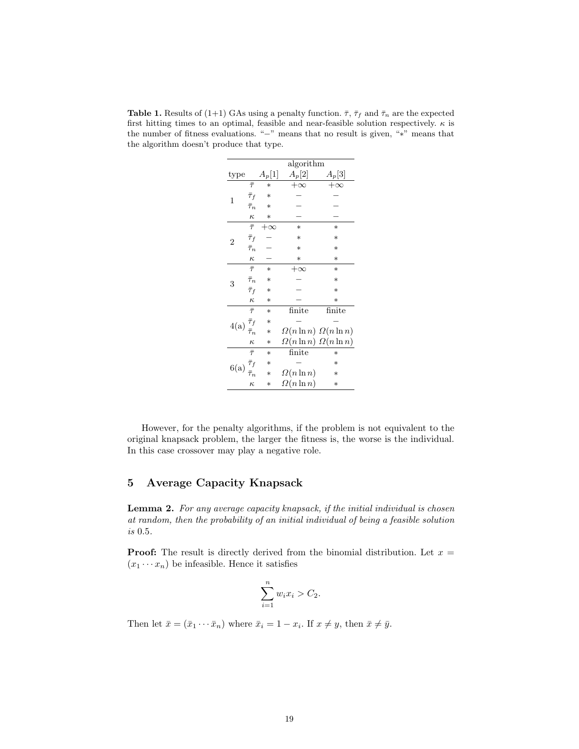**Table 1.** Results of (1+1) GAs using a penalty function.  $\bar{\tau}$ ,  $\bar{\tau}_f$  and  $\bar{\tau}_n$  are the expected first hitting times to an optimal, feasible and near-feasible solution respectively.  $\kappa$  is the number of fitness evaluations. "−" means that no result is given, "∗" means that the algorithm doesn't produce that type.

|                                          |                              | algorithm |                   |                                   |  |  |  |  |
|------------------------------------------|------------------------------|-----------|-------------------|-----------------------------------|--|--|--|--|
| type                                     |                              | $A_p[1]$  | $A_p[2]$          | $A_p[3]$                          |  |  |  |  |
| 1                                        | $\bar{\tau}$                 | $\ast$    | $+\infty$         | $+\infty$                         |  |  |  |  |
|                                          | $\bar{\tau}_f$               | $\ast$    |                   |                                   |  |  |  |  |
|                                          | $\bar{\tau}_n$               | $\ast$    |                   |                                   |  |  |  |  |
|                                          | $\kappa$                     | $\ast$    |                   |                                   |  |  |  |  |
|                                          | $\bar{\tau}$                 | $+\infty$ | $\ast$            | $\ast$                            |  |  |  |  |
| 2                                        | $\bar{\tau}_f$               |           | $\ast$            | $\ast$                            |  |  |  |  |
|                                          | $\bar{\tau}_n$               |           | $\ast$            | $\ast$                            |  |  |  |  |
|                                          | $\kappa$                     |           | $\ast$            | $\ast$                            |  |  |  |  |
|                                          | $\overline{\overline{\tau}}$ | $\ast$    | $+\infty$         | $\ast$                            |  |  |  |  |
| 3                                        | $\bar{\tau}_n$               | $\ast$    |                   | $\ast$                            |  |  |  |  |
|                                          | $\bar{\tau}_f$               | $\ast$    |                   | $\ast$                            |  |  |  |  |
|                                          | $\kappa$                     | $\ast$    |                   | $\ast$                            |  |  |  |  |
|                                          | $\overline{\overline{\tau}}$ | $\ast$    | finite            | finite                            |  |  |  |  |
| $4(a)\stackrel{\bar{\tau}_f}{\lrcorner}$ |                              | $\ast$    |                   |                                   |  |  |  |  |
|                                          |                              | $\ast$    |                   | $\Omega(n \ln n) \Omega(n \ln n)$ |  |  |  |  |
|                                          | $\kappa$                     | $\ast$    |                   | $\Omega(n \ln n) \Omega(n \ln n)$ |  |  |  |  |
| 6(a) $\frac{\bar{\tau}_f}{\bar{\tau}}$   | $\overline{\bar{\tau}}$      | $\ast$    | finite            | $\ast$                            |  |  |  |  |
|                                          |                              | $\ast$    |                   | $\ast$                            |  |  |  |  |
|                                          |                              | $\ast$    | $\Omega(n \ln n)$ | $\ast$                            |  |  |  |  |
|                                          | $\kappa$                     | $\ast$    | $\Omega(n \ln n)$ | $\ast$                            |  |  |  |  |

However, for the penalty algorithms, if the problem is not equivalent to the original knapsack problem, the larger the fitness is, the worse is the individual. In this case crossover may play a negative role.

# 5 Average Capacity Knapsack

Lemma 2. For any average capacity knapsack, if the initial individual is chosen at random, then the probability of an initial individual of being a feasible solution is 0.5.

**Proof:** The result is directly derived from the binomial distribution. Let  $x =$  $(x_1 \cdots x_n)$  be infeasible. Hence it satisfies

$$
\sum_{i=1}^{n} w_i x_i > C_2.
$$

Then let  $\bar{x} = (\bar{x}_1 \cdots \bar{x}_n)$  where  $\bar{x}_i = 1 - x_i$ . If  $x \neq y$ , then  $\bar{x} \neq \bar{y}$ .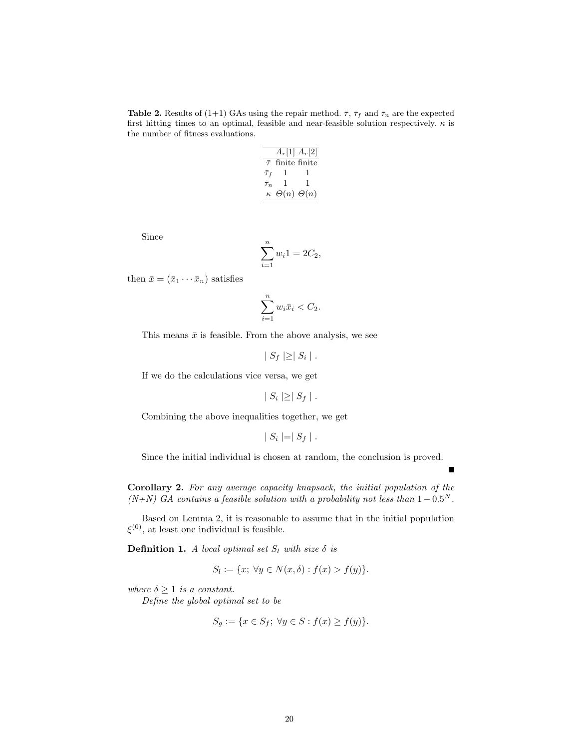**Table 2.** Results of (1+1) GAs using the repair method.  $\bar{\tau}$ ,  $\bar{\tau}_f$  and  $\bar{\tau}_n$  are the expected first hitting times to an optimal, feasible and near-feasible solution respectively.  $\kappa$  is the number of fitness evaluations.

|                | $A_r[1]$ $A_r[2]$       |   |
|----------------|-------------------------|---|
| $\bar{\tau}$   | finite finite           |   |
| $\bar{\tau}_f$ | T.                      |   |
| $\bar{\tau}_n$ | L                       | 1 |
| $\kappa$       | $\Theta(n)$ $\Theta(n)$ |   |

Since

$$
\sum_{i=1}^{n} w_i 1 = 2C_2,
$$

then  $\bar{x} = (\bar{x}_1 \cdots \bar{x}_n)$  satisfies

$$
\sum_{i=1}^{n} w_i \bar{x}_i < C_2.
$$

This means  $\bar{x}$  is feasible. From the above analysis, we see

$$
|S_f|\geq |S_i|.
$$

If we do the calculations vice versa, we get

$$
|S_i| \geq |S_f|.
$$

Combining the above inequalities together, we get

$$
|S_i| = |S_f|.
$$

Since the initial individual is chosen at random, the conclusion is proved.

Corollary 2. For any average capacity knapsack, the initial population of the  $(N+N)$  GA contains a feasible solution with a probability not less than  $1-0.5^N$ .

Based on Lemma 2, it is reasonable to assume that in the initial population  $\xi^{(0)}$ , at least one individual is feasible.

**Definition 1.** A local optimal set  $S_l$  with size  $\delta$  is

$$
S_l := \{x; \,\forall y \in N(x, \delta) : f(x) > f(y)\}.
$$

where  $\delta \geq 1$  is a constant.

Define the global optimal set to be

$$
S_g := \{ x \in S_f; \ \forall y \in S : f(x) \ge f(y) \}.
$$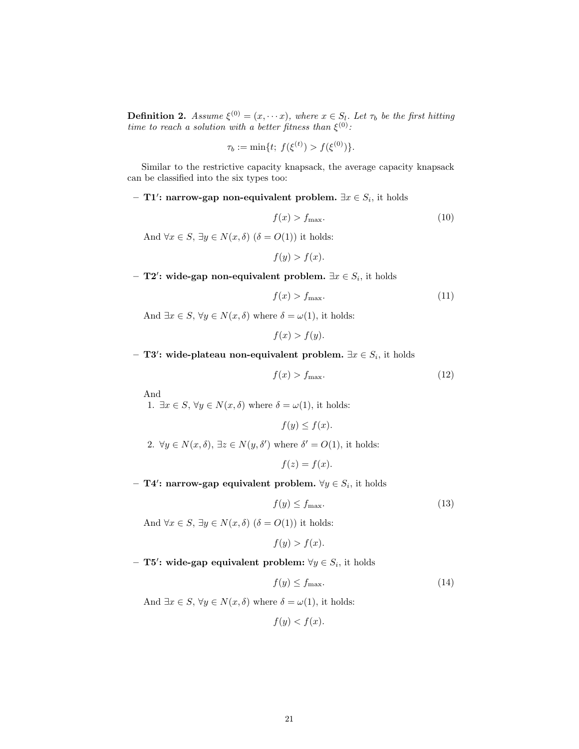**Definition 2.** Assume  $\xi^{(0)} = (x, \dots x)$ , where  $x \in S_l$ . Let  $\tau_b$  be the first hitting time to reach a solution with a better fitness than  $\xi^{(0)}$ :

$$
\tau_b := \min\{t; \ f(\xi^{(t)}) > f(\xi^{(0)})\}.
$$

Similar to the restrictive capacity knapsack, the average capacity knapsack can be classified into the six types too:

– T1': narrow-gap non-equivalent problem.  $\exists x \in S_i$ , it holds

$$
f(x) > f_{\text{max}}.\tag{10}
$$

And  $\forall x \in S$ ,  $\exists y \in N(x, \delta)$   $(\delta = O(1))$  it holds:

$$
f(y) > f(x).
$$

- T2': wide-gap non-equivalent problem.  $\exists x \in S_i$ , it holds

$$
f(x) > f_{\text{max}}.\tag{11}
$$

And  $\exists x \in S, \forall y \in N(x, \delta)$  where  $\delta = \omega(1)$ , it holds:

$$
f(x) > f(y).
$$

– T3': wide-plateau non-equivalent problem.  $\exists x \in S_i$ , it holds

$$
f(x) > f_{\text{max}}.\tag{12}
$$

And

1.  $\exists x \in S, \forall y \in N(x, \delta)$  where  $\delta = \omega(1)$ , it holds:

$$
f(y) \le f(x).
$$

2.  $\forall y \in N(x, \delta), \exists z \in N(y, \delta')$  where  $\delta' = O(1)$ , it holds:

$$
f(z) = f(x).
$$

– T4': narrow-gap equivalent problem.  $\forall y \in S_i$ , it holds

$$
f(y) \le f_{\text{max}}.\tag{13}
$$

And  $\forall x \in S, \exists y \in N(x, \delta)$   $(\delta = O(1))$  it holds:

$$
f(y) > f(x).
$$

– T5': wide-gap equivalent problem:  $\forall y \in S_i$ , it holds

$$
f(y) \le f_{\text{max}}.\tag{14}
$$

And  $\exists x \in S, \forall y \in N(x, \delta)$  where  $\delta = \omega(1)$ , it holds:

$$
f(y) < f(x).
$$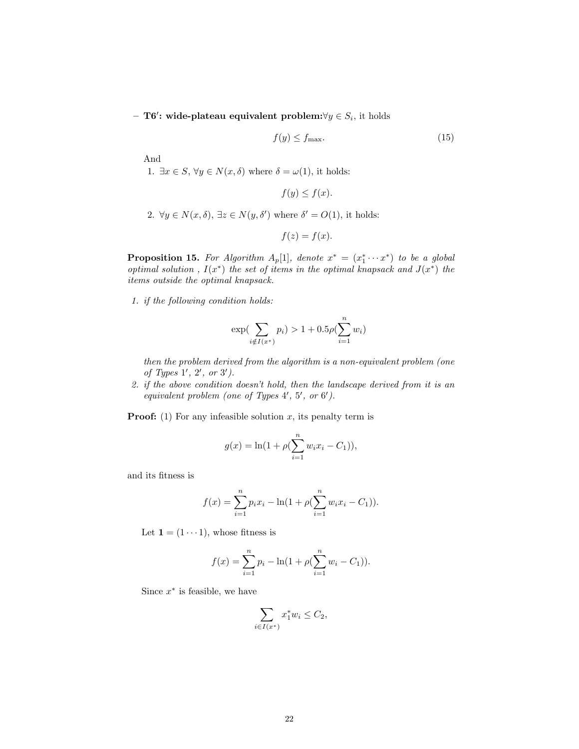– T6': wide-plateau equivalent problem:∀ $y \in S_i$ , it holds

$$
f(y) \le f_{\text{max}}.\tag{15}
$$

And

1.  $\exists x \in S, \forall y \in N(x, \delta)$  where  $\delta = \omega(1)$ , it holds:

$$
f(y) \le f(x).
$$

2.  $\forall y \in N(x, \delta), \exists z \in N(y, \delta')$  where  $\delta' = O(1)$ , it holds:

$$
f(z) = f(x).
$$

**Proposition 15.** For Algorithm  $A_p[1]$ , denote  $x^* = (x_1^* \cdots x^*)$  to be a global optimal solution,  $I(x^*)$  the set of items in the optimal knapsack and  $J(x^*)$  the items outside the optimal knapsack.

1. if the following condition holds:

$$
\exp\left(\sum_{i \notin I(x^*)} p_i\right) > 1 + 0.5\rho\left(\sum_{i=1}^n w_i\right)
$$

then the problem derived from the algorithm is a non-equivalent problem (one of Types  $1', 2', or 3'.$ 

2. if the above condition doesn't hold, then the landscape derived from it is an equivalent problem (one of Types  $4'$ ,  $5'$ , or  $6'$ ).

**Proof:** (1) For any infeasible solution x, its penalty term is

$$
g(x) = \ln(1 + \rho(\sum_{i=1}^{n} w_i x_i - C_1)),
$$

and its fitness is

$$
f(x) = \sum_{i=1}^{n} p_i x_i - \ln(1 + \rho(\sum_{i=1}^{n} w_i x_i - C_1)).
$$

Let  $\mathbf{1} = (1 \cdots 1)$ , whose fitness is

$$
f(x) = \sum_{i=1}^{n} p_i - \ln(1 + \rho(\sum_{i=1}^{n} w_i - C_1)).
$$

Since  $x^*$  is feasible, we have

$$
\sum_{i \in I(x^*)} x_1^* w_i \le C_2,
$$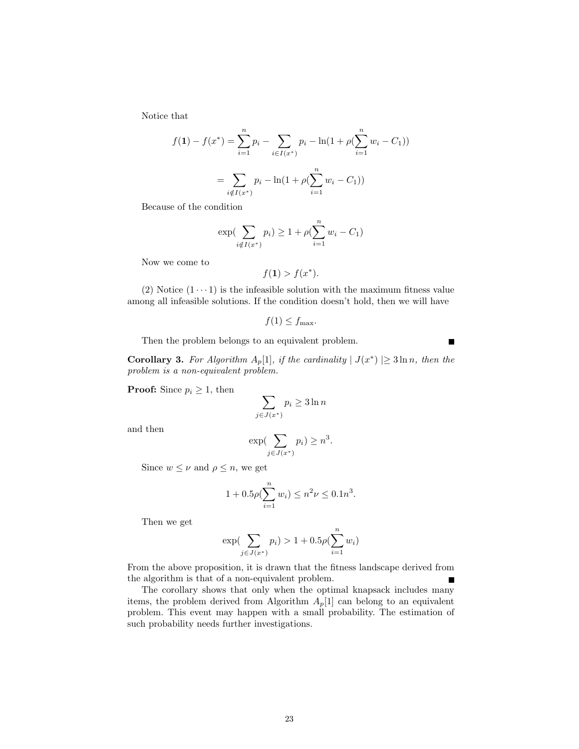Notice that

$$
f(1) - f(x^*) = \sum_{i=1}^n p_i - \sum_{i \in I(x^*)} p_i - \ln(1 + \rho(\sum_{i=1}^n w_i - C_1))
$$

$$
= \sum_{i \notin I(x^*)} p_i - \ln(1 + \rho(\sum_{i=1}^n w_i - C_1))
$$

Because of the condition

$$
\exp(\sum_{i \notin I(x^*)} p_i) \ge 1 + \rho(\sum_{i=1}^n w_i - C_1)
$$

Now we come to

$$
f(\mathbf{1}) > f(x^*).
$$

(2) Notice  $(1 \cdots 1)$  is the infeasible solution with the maximum fitness value among all infeasible solutions. If the condition doesn't hold, then we will have

$$
f(1) \le f_{\max}.
$$

П

Then the problem belongs to an equivalent problem.

**Corollary 3.** For Algorithm  $A_p[1]$ , if the cardinality  $|J(x^*)| \ge 3 \ln n$ , then the problem is a non-equivalent problem.

**Proof:** Since  $p_i \geq 1$ , then

$$
\sum_{j \in J(x^*)} p_i \ge 3 \ln n
$$

and then

$$
\exp\left(\sum_{j\in J(x^*)} p_i\right) \ge n^3.
$$

Since  $w \leq \nu$  and  $\rho \leq n$ , we get

$$
1 + 0.5\rho(\sum_{i=1}^{n} w_i) \le n^2 \nu \le 0.1n^3.
$$

Then we get

$$
\exp(\sum_{j \in J(x^*)} p_i) > 1 + 0.5\rho(\sum_{i=1}^n w_i)
$$

From the above proposition, it is drawn that the fitness landscape derived from the algorithm is that of a non-equivalent problem.

The corollary shows that only when the optimal knapsack includes many items, the problem derived from Algorithm  $A_p[1]$  can belong to an equivalent problem. This event may happen with a small probability. The estimation of such probability needs further investigations.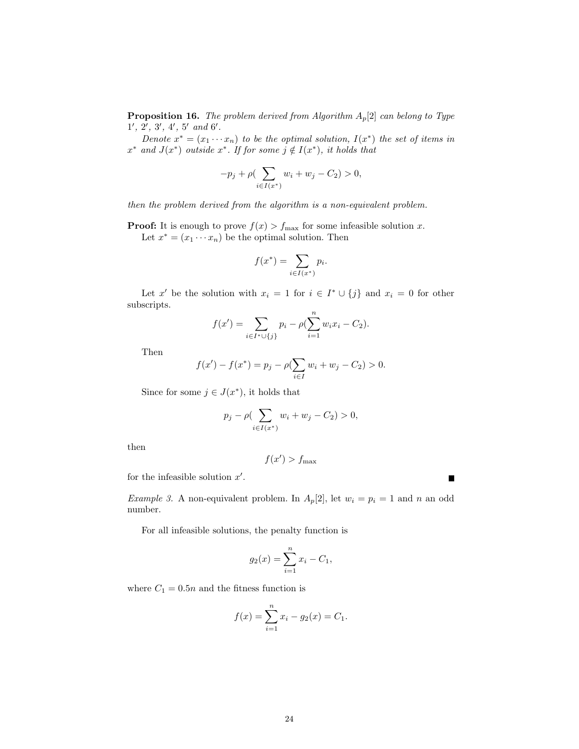**Proposition 16.** The problem derived from Algorithm  $A_p[2]$  can belong to Type  $1', 2', 3', 4', 5'$  and  $6'.$ 

Denote  $x^* = (x_1 \cdots x_n)$  to be the optimal solution,  $I(x^*)$  the set of items in  $x^*$  and  $J(x^*)$  outside  $x^*$ . If for some  $j \notin I(x^*)$ , it holds that

$$
-p_j + \rho \left( \sum_{i \in I(x^*)} w_i + w_j - C_2 \right) > 0,
$$

then the problem derived from the algorithm is a non-equivalent problem.

**Proof:** It is enough to prove  $f(x) > f_{\text{max}}$  for some infeasible solution x. Let  $x^* = (x_1 \cdots x_n)$  be the optimal solution. Then

$$
f(x^*) = \sum_{i \in I(x^*)} p_i.
$$

Let x' be the solution with  $x_i = 1$  for  $i \in I^* \cup \{j\}$  and  $x_i = 0$  for other subscripts.

$$
f(x') = \sum_{i \in I^* \cup \{j\}} p_i - \rho(\sum_{i=1}^n w_i x_i - C_2).
$$

Then

$$
f(x') - f(x^*) = p_j - \rho \left( \sum_{i \in I} w_i + w_j - C_2 \right) > 0.
$$

Since for some  $j \in J(x^*)$ , it holds that

$$
p_j - \rho(\sum_{i \in I(x^*)} w_i + w_j - C_2) > 0,
$$

then

$$
f(x') > f_{\max}
$$

for the infeasible solution  $x'$ .

Example 3. A non-equivalent problem. In  $A_p[2]$ , let  $w_i = p_i = 1$  and n an odd number.

For all infeasible solutions, the penalty function is

$$
g_2(x) = \sum_{i=1}^{n} x_i - C_1,
$$

where  $C_1=0.5n$  and the fitness function is

$$
f(x) = \sum_{i=1}^{n} x_i - g_2(x) = C_1.
$$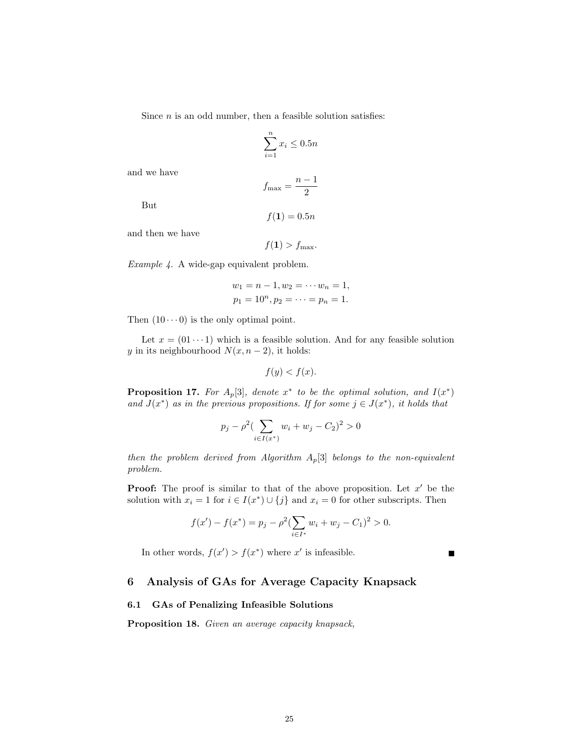Since  $n$  is an odd number, then a feasible solution satisfies:

$$
\sum_{i=1}^{n} x_i \le 0.5n
$$

and we have

$$
f_{\max} = \frac{n-1}{2}
$$

But

$$
f(\mathbf{1})=0.5n
$$

and then we have

$$
f(\mathbf{1}) > f_{\max}.
$$

Example 4. A wide-gap equivalent problem.

$$
w_1 = n - 1, w_2 = \cdots w_n = 1,
$$
  
 $p_1 = 10^n, p_2 = \cdots = p_n = 1.$ 

Then  $(10 \cdots 0)$  is the only optimal point.

Let  $x = (01 \cdots 1)$  which is a feasible solution. And for any feasible solution y in its neighbourhood  $N(x, n-2)$ , it holds:

$$
f(y) < f(x).
$$

**Proposition 17.** For  $A_p[3]$ , denote  $x^*$  to be the optimal solution, and  $I(x^*)$ and  $J(x^*)$  as in the previous propositions. If for some  $j \in J(x^*)$ , it holds that

$$
p_j - \rho^2 \left( \sum_{i \in I(x^*)} w_i + w_j - C_2 \right)^2 > 0
$$

then the problem derived from Algorithm  $A_p[3]$  belongs to the non-equivalent problem.

**Proof:** The proof is similar to that of the above proposition. Let  $x'$  be the solution with  $x_i = 1$  for  $i \in I(x^*) \cup \{j\}$  and  $x_i = 0$  for other subscripts. Then

$$
f(x') - f(x^*) = p_j - \rho^2 \left( \sum_{i \in I^*} w_i + w_j - C_1 \right)^2 > 0.
$$

In other words,  $f(x') > f(x^*)$  where x' is infeasible.

 $\blacksquare$ 

# 6 Analysis of GAs for Average Capacity Knapsack

# 6.1 GAs of Penalizing Infeasible Solutions

Proposition 18. Given an average capacity knapsack,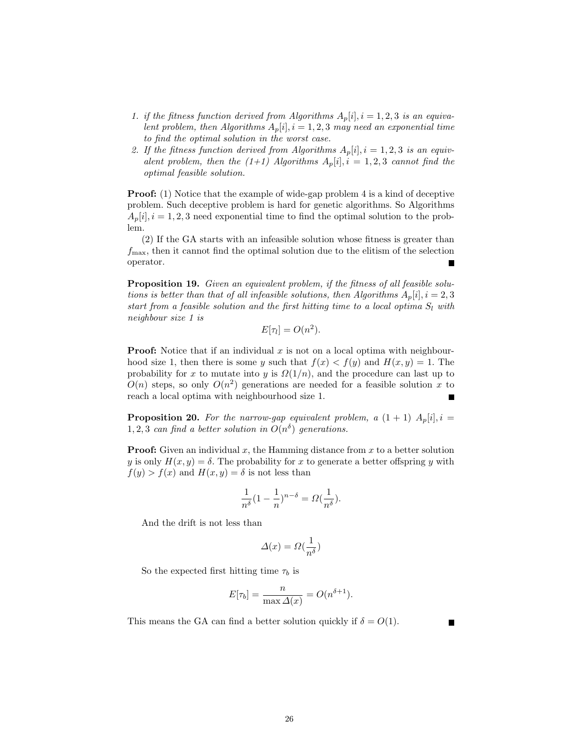- 1. if the fitness function derived from Algorithms  $A_p[i], i = 1, 2, 3$  is an equivalent problem, then Algorithms  $A_p[i], i = 1, 2, 3$  may need an exponential time to find the optimal solution in the worst case.
- 2. If the fitness function derived from Algorithms  $A_p[i], i = 1, 2, 3$  is an equivalent problem, then the  $(1+1)$  Algorithms  $A_p[i], i = 1, 2, 3$  cannot find the optimal feasible solution.

**Proof:** (1) Notice that the example of wide-gap problem 4 is a kind of deceptive problem. Such deceptive problem is hard for genetic algorithms. So Algorithms  $A_p[i], i = 1, 2, 3$  need exponential time to find the optimal solution to the problem.

(2) If the GA starts with an infeasible solution whose fitness is greater than  $f_{\text{max}}$ , then it cannot find the optimal solution due to the elitism of the selection operator. П

Proposition 19. Given an equivalent problem, if the fitness of all feasible solutions is better than that of all infeasible solutions, then Algorithms  $A_p[i], i = 2, 3$ start from a feasible solution and the first hitting time to a local optima  $S_l$  with neighbour size 1 is

$$
E[\tau_l] = O(n^2).
$$

**Proof:** Notice that if an individual x is not on a local optima with neighbourhood size 1, then there is some y such that  $f(x) < f(y)$  and  $H(x, y) = 1$ . The probability for x to mutate into y is  $\Omega(1/n)$ , and the procedure can last up to  $O(n)$  steps, so only  $O(n^2)$  generations are needed for a feasible solution x to reach a local optima with neighbourhood size 1.

**Proposition 20.** For the narrow-gap equivalent problem, a  $(1 + 1)$   $A_n[i], i =$ 1, 2, 3 can find a better solution in  $O(n^{\delta})$  generations.

**Proof:** Given an individual  $x$ , the Hamming distance from  $x$  to a better solution y is only  $H(x, y) = \delta$ . The probability for x to generate a better offspring y with  $f(y) > f(x)$  and  $H(x, y) = \delta$  is not less than

$$
\frac{1}{n^{\delta}}(1-\frac{1}{n})^{n-\delta} = \Omega(\frac{1}{n^{\delta}}).
$$

And the drift is not less than

$$
\varDelta(x)=\varOmega(\frac{1}{n^\delta})
$$

So the expected first hitting time  $\tau_b$  is

$$
E[\tau_b] = \frac{n}{\max \Delta(x)} = O(n^{\delta+1}).
$$

This means the GA can find a better solution quickly if  $\delta = O(1)$ .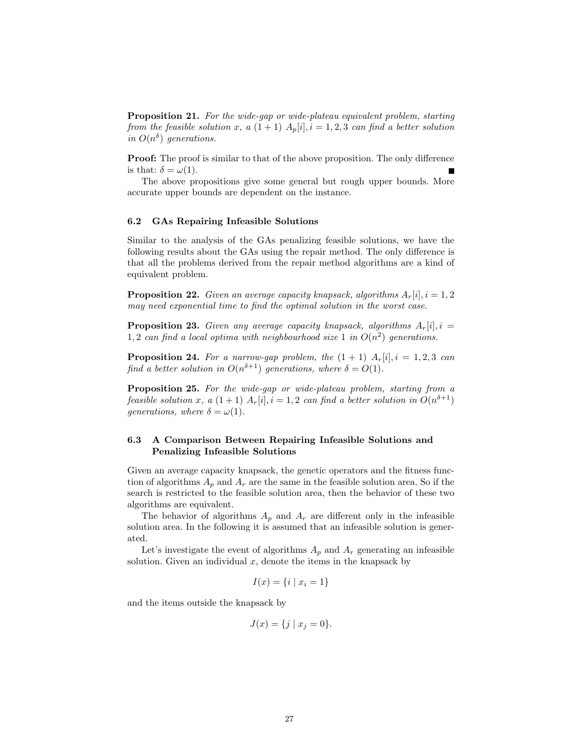**Proposition 21.** For the wide-gap or wide-plateau equivalent problem, starting from the feasible solution x, a  $(1 + 1)$   $A_p[i], i = 1, 2, 3$  can find a better solution in  $O(n^{\delta})$  generations.

Proof: The proof is similar to that of the above proposition. The only difference is that:  $\delta = \omega(1)$ .

The above propositions give some general but rough upper bounds. More accurate upper bounds are dependent on the instance.

#### 6.2 GAs Repairing Infeasible Solutions

Similar to the analysis of the GAs penalizing feasible solutions, we have the following results about the GAs using the repair method. The only difference is that all the problems derived from the repair method algorithms are a kind of equivalent problem.

**Proposition 22.** Given an average capacity knapsack, algorithms  $A_r[i], i = 1, 2$ may need exponential time to find the optimal solution in the worst case.

**Proposition 23.** Given any average capacity knapsack, algorithms  $A_r[i], i =$ 1,2 can find a local optima with neighbourhood size 1 in  $O(n^2)$  generations.

**Proposition 24.** For a narrow-gap problem, the  $(1 + 1)$   $A_r[i], i = 1, 2, 3$  can find a better solution in  $O(n^{\delta+1})$  generations, where  $\delta = O(1)$ .

Proposition 25. For the wide-gap or wide-plateau problem, starting from a feasible solution x, a  $(1+1)$   $A_r[i], i = 1,2$  can find a better solution in  $O(n^{\delta+1})$ generations, where  $\delta = \omega(1)$ .

# 6.3 A Comparison Between Repairing Infeasible Solutions and Penalizing Infeasible Solutions

Given an average capacity knapsack, the genetic operators and the fitness function of algorithms  $A_p$  and  $A_r$  are the same in the feasible solution area. So if the search is restricted to the feasible solution area, then the behavior of these two algorithms are equivalent.

The behavior of algorithms  $A_p$  and  $A_r$  are different only in the infeasible solution area. In the following it is assumed that an infeasible solution is generated.

Let's investigate the event of algorithms  $A_p$  and  $A_r$  generating an infeasible solution. Given an individual  $x$ , denote the items in the knapsack by

$$
I(x) = \{i \mid x_i = 1\}
$$

and the items outside the knapsack by

$$
J(x) = \{ j \mid x_j = 0 \}.
$$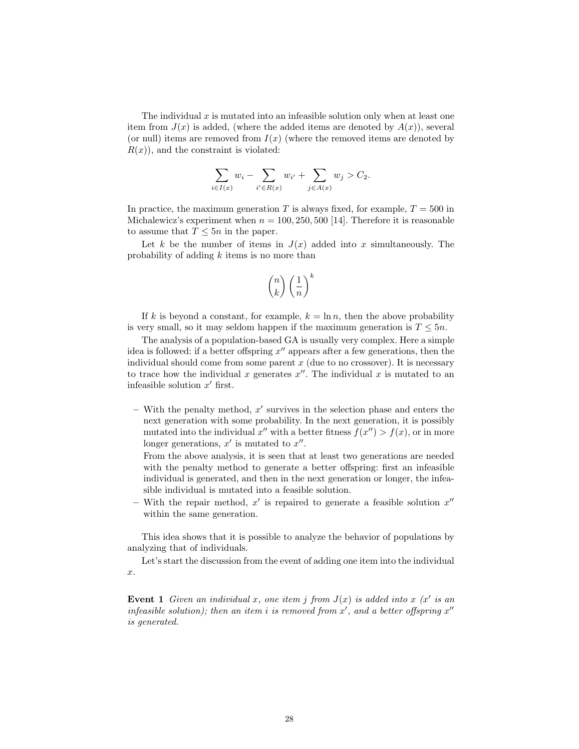The individual  $x$  is mutated into an infeasible solution only when at least one item from  $J(x)$  is added, (where the added items are denoted by  $A(x)$ ), several (or null) items are removed from  $I(x)$  (where the removed items are denoted by  $R(x)$ , and the constraint is violated:

$$
\sum_{i \in I(x)} w_i - \sum_{i' \in R(x)} w_{i'} + \sum_{j \in A(x)} w_j > C_2.
$$

In practice, the maximum generation T is always fixed, for example,  $T = 500$  in Michalewicz's experiment when  $n = 100, 250, 500$  [14]. Therefore it is reasonable to assume that  $T \leq 5n$  in the paper.

Let k be the number of items in  $J(x)$  added into x simultaneously. The probability of adding k items is no more than

$$
\binom{n}{k}\left(\frac{1}{n}\right)^k
$$

If k is beyond a constant, for example,  $k = \ln n$ , then the above probability is very small, so it may seldom happen if the maximum generation is  $T \leq 5n$ .

The analysis of a population-based GA is usually very complex. Here a simple idea is followed: if a better offspring  $x''$  appears after a few generations, then the individual should come from some parent  $x$  (due to no crossover). It is necessary to trace how the individual x generates  $x''$ . The individual x is mutated to an infeasible solution  $x'$  first.

 $-$  With the penalty method,  $x'$  survives in the selection phase and enters the next generation with some probability. In the next generation, it is possibly mutated into the individual  $x''$  with a better fitness  $f(x'') > f(x)$ , or in more longer generations,  $x'$  is mutated to  $x''$ .

From the above analysis, it is seen that at least two generations are needed with the penalty method to generate a better offspring: first an infeasible individual is generated, and then in the next generation or longer, the infeasible individual is mutated into a feasible solution.

– With the repair method,  $x'$  is repaired to generate a feasible solution  $x''$ within the same generation.

This idea shows that it is possible to analyze the behavior of populations by analyzing that of individuals.

Let's start the discussion from the event of adding one item into the individual x.

Event 1 Given an individual x, one item j from  $J(x)$  is added into x (x' is an infeasible solution); then an item i is removed from  $x'$ , and a better offspring  $x''$ is generated.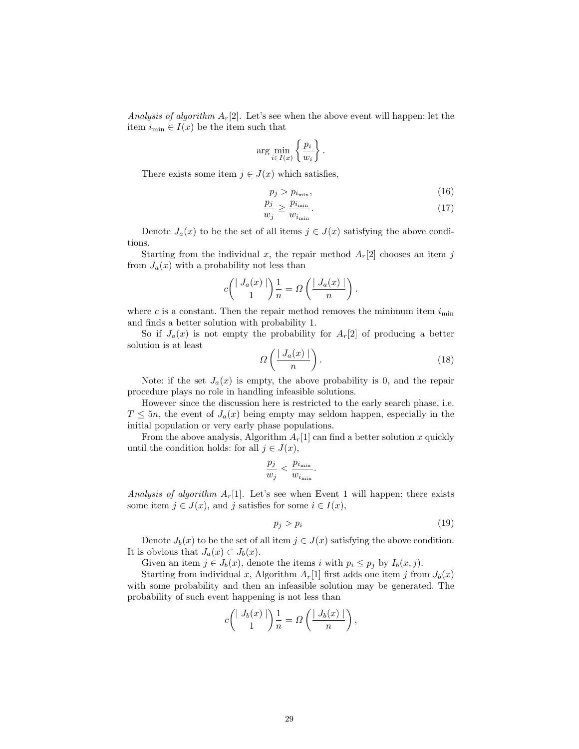Analysis of algorithm  $A_r[2]$ . Let's see when the above event will happen: let the item  $i_{\min} \in I(x)$  be the item such that

$$
\arg\min_{i\in I(x)} \left\{\frac{p_i}{w_i}\right\}.
$$

There exists some item  $j \in J(x)$  which satisfies,

$$
p_j > p_{i_{\min}},\tag{16}
$$

$$
\frac{p_j}{w_j} \ge \frac{p_{i_{\min}}}{w_{i_{\min}}}.\tag{17}
$$

Denote  $J_a(x)$  to be the set of all items  $j \in J(x)$  satisfying the above conditions.

Starting from the individual x, the repair method  $A_r[2]$  chooses an item j from  $J_a(x)$  with a probability not less than

$$
c\binom{|J_a(x)|}{1}\frac{1}{n} = \Omega\left(\frac{|J_a(x)|}{n}\right).
$$

where c is a constant. Then the repair method removes the minimum item  $i_{\min}$ and finds a better solution with probability 1.

So if  $J_a(x)$  is not empty the probability for  $A_r[2]$  of producing a better solution is at least

$$
\Omega\left(\frac{|J_a(x)|}{n}\right). \tag{18}
$$

Note: if the set  $J_a(x)$  is empty, the above probability is 0, and the repair procedure plays no role in handling infeasible solutions.

However since the discussion here is restricted to the early search phase, i.e.  $T \leq 5n$ , the event of  $J_a(x)$  being empty may seldom happen, especially in the initial population or very early phase populations.

From the above analysis, Algorithm  $A_r[1]$  can find a better solution x quickly until the condition holds: for all  $j \in J(x)$ ,

$$
\frac{p_j}{w_j} < \frac{p_{i_{\min}}}{w_{i_{\min}}}.
$$

Analysis of algorithm  $A_r[1]$ . Let's see when Event 1 will happen: there exists some item  $j \in J(x)$ , and j satisfies for some  $i \in I(x)$ ,

$$
p_j > p_i \tag{19}
$$

Denote  $J_b(x)$  to be the set of all item  $j \in J(x)$  satisfying the above condition. It is obvious that  $J_a(x) \subset J_b(x)$ .

Given an item  $j \in J_b(x)$ , denote the items i with  $p_i \leq p_j$  by  $I_b(x, j)$ .

Starting from individual x, Algorithm  $A_r[1]$  first adds one item j from  $J_b(x)$ with some probability and then an infeasible solution may be generated. The probability of such event happening is not less than

$$
c\binom{|J_b(x)|}{1}\frac{1}{n} = \Omega\left(\frac{|J_b(x)|}{n}\right),\,
$$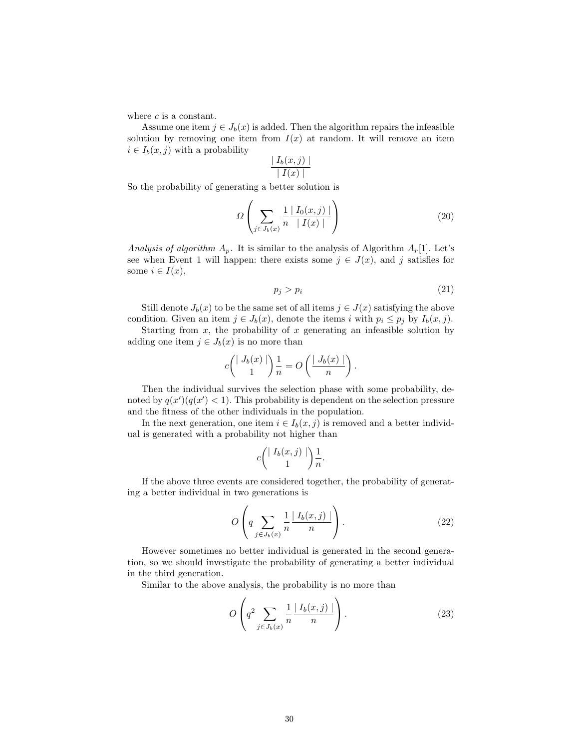where  $c$  is a constant.

Assume one item  $j \in J_b(x)$  is added. Then the algorithm repairs the infeasible solution by removing one item from  $I(x)$  at random. It will remove an item  $i \in I_b(x, j)$  with a probability

$$
\frac{\mid I_b(x,j)\mid}{\mid I(x)\mid}
$$

So the probability of generating a better solution is

$$
\Omega\left(\sum_{j\in J_b(x)}\frac{1}{n}\frac{|I_0(x,j)|}{|I(x)|}\right) \tag{20}
$$

Analysis of algorithm  $A_p$ . It is similar to the analysis of Algorithm  $A_r[1]$ . Let's see when Event 1 will happen: there exists some  $j \in J(x)$ , and j satisfies for some  $i \in I(x)$ ,

$$
p_j > p_i \tag{21}
$$

Still denote  $J_b(x)$  to be the same set of all items  $j \in J(x)$  satisfying the above condition. Given an item  $j \in J_b(x)$ , denote the items i with  $p_i \leq p_j$  by  $I_b(x, j)$ .

Starting from  $x$ , the probability of  $x$  generating an infeasible solution by adding one item  $j \in J_b(x)$  is no more than

$$
c\binom{\mid J_b(x)\mid}{1}\frac{1}{n} = O\left(\frac{\mid J_b(x)\mid}{n}\right).
$$

Then the individual survives the selection phase with some probability, denoted by  $q(x') (q(x') < 1)$ . This probability is dependent on the selection pressure and the fitness of the other individuals in the population.

In the next generation, one item  $i \in I_b(x, j)$  is removed and a better individual is generated with a probability not higher than

$$
c \binom{\mid I_b(x,j) \mid}{1} \frac{1}{n}.
$$

If the above three events are considered together, the probability of generating a better individual in two generations is

$$
O\left(q\sum_{j\in J_b(x)}\frac{1}{n}\frac{|I_b(x,j)|}{n}\right).
$$
\n(22)

However sometimes no better individual is generated in the second generation, so we should investigate the probability of generating a better individual in the third generation.

Similar to the above analysis, the probability is no more than

$$
O\left(q^2 \sum_{j \in J_b(x)} \frac{1}{n} \frac{|I_b(x,j)|}{n}\right).
$$
 (23)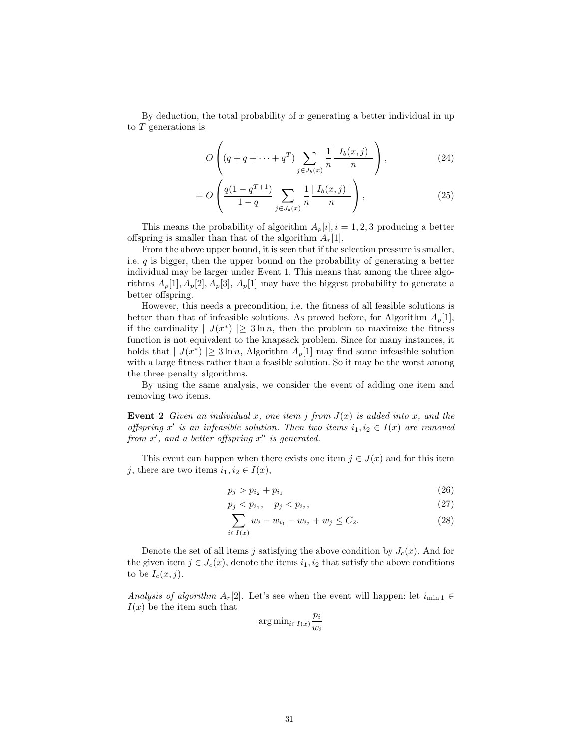By deduction, the total probability of  $x$  generating a better individual in up to T generations is

$$
O\left((q+q+\cdots+q^{T})\sum_{j\in J_{b}(x)}\frac{1}{n}\frac{|I_{b}(x,j)|}{n}\right),\tag{24}
$$

$$
= O\left(\frac{q(1-q^{T+1})}{1-q} \sum_{j \in J_b(x)} \frac{1}{n} \frac{|I_b(x,j)|}{n}\right),\tag{25}
$$

This means the probability of algorithm  $A_p[i], i = 1, 2, 3$  producing a better offspring is smaller than that of the algorithm  $A_r[1]$ .

From the above upper bound, it is seen that if the selection pressure is smaller, i.e.  $q$  is bigger, then the upper bound on the probability of generating a better individual may be larger under Event 1. This means that among the three algorithms  $A_p[1], A_p[2], A_p[3], A_p[1]$  may have the biggest probability to generate a better offspring.

However, this needs a precondition, i.e. the fitness of all feasible solutions is better than that of infeasible solutions. As proved before, for Algorithm  $A_p[1]$ , if the cardinality  $|J(x^*)| \geq 3 \ln n$ , then the problem to maximize the fitness function is not equivalent to the knapsack problem. Since for many instances, it holds that  $|J(x^*)| \geq 3 \ln n$ , Algorithm  $A_p[1]$  may find some infeasible solution with a large fitness rather than a feasible solution. So it may be the worst among the three penalty algorithms.

By using the same analysis, we consider the event of adding one item and removing two items.

**Event 2** Given an individual x, one item j from  $J(x)$  is added into x, and the offspring x' is an infeasible solution. Then two items  $i_1, i_2 \in I(x)$  are removed from  $x'$ , and a better offspring  $x''$  is generated.

This event can happen when there exists one item  $j \in J(x)$  and for this item j, there are two items  $i_1, i_2 \in I(x)$ ,

$$
p_j > p_{i_2} + p_{i_1} \tag{26}
$$

$$
p_j < p_{i_1}, \quad p_j < p_{i_2}, \tag{27}
$$

$$
\sum_{i \in I(x)} w_i - w_{i_1} - w_{i_2} + w_j \le C_2. \tag{28}
$$

Denote the set of all items j satisfying the above condition by  $J_c(x)$ . And for the given item  $j \in J_c(x)$ , denote the items  $i_1, i_2$  that satisfy the above conditions to be  $I_c(x, j)$ .

Analysis of algorithm  $A_r[2]$ . Let's see when the event will happen: let  $i_{\min 1} \in$  $I(x)$  be the item such that

$$
\arg\min_{i \in I(x)} \frac{p_i}{w_i}
$$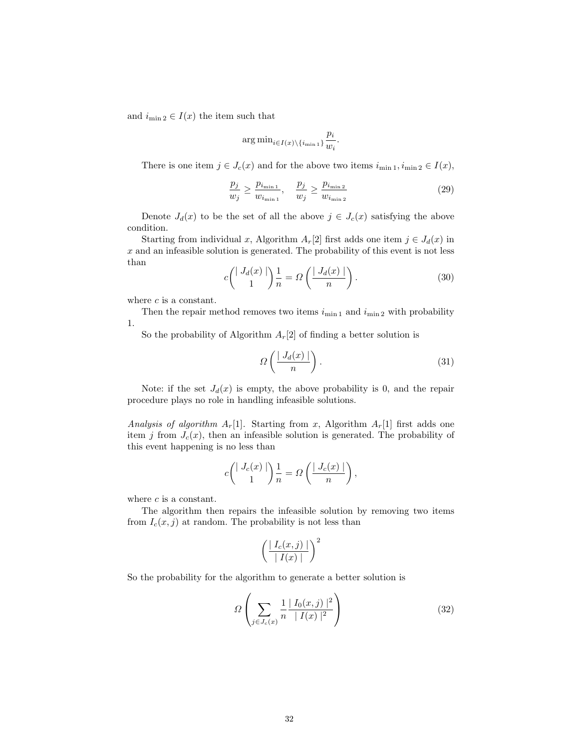and  $i_{\min 2} \in I(x)$  the item such that

$$
\arg\min_{i\in I(x)\backslash\{i_{\min 1}\}}\frac{p_i}{w_i}.
$$

There is one item  $j \in J_c(x)$  and for the above two items  $i_{\min 1}, i_{\min 2} \in I(x)$ ,

$$
\frac{p_j}{w_j} \ge \frac{p_{i_{\min 1}}}{w_{i_{\min 1}}}, \quad \frac{p_j}{w_j} \ge \frac{p_{i_{\min 2}}}{w_{i_{\min 2}}}
$$
\n
$$
(29)
$$

Denote  $J_d(x)$  to be the set of all the above  $j \in J_c(x)$  satisfying the above condition.

Starting from individual x, Algorithm  $A_r[2]$  first adds one item  $j \in J_d(x)$  in  $x$  and an infeasible solution is generated. The probability of this event is not less than

$$
c\binom{|J_d(x)|}{1}\frac{1}{n} = \Omega\left(\frac{|J_d(x)|}{n}\right). \tag{30}
$$

where  $c$  is a constant.

Then the repair method removes two items  $i_{\min 1}$  and  $i_{\min 2}$  with probability 1.

So the probability of Algorithm  $A_r[2]$  of finding a better solution is

$$
\Omega\left(\frac{|J_d(x)|}{n}\right). \tag{31}
$$

Note: if the set  $J_d(x)$  is empty, the above probability is 0, and the repair procedure plays no role in handling infeasible solutions.

Analysis of algorithm  $A_r[1]$ . Starting from x, Algorithm  $A_r[1]$  first adds one item j from  $J_c(x)$ , then an infeasible solution is generated. The probability of this event happening is no less than

$$
c\binom{|J_c(x)|}{1}\frac{1}{n} = \Omega\left(\frac{|J_c(x)|}{n}\right),\,
$$

where  $c$  is a constant.

The algorithm then repairs the infeasible solution by removing two items from  $I_c(x, j)$  at random. The probability is not less than

$$
\left(\frac{\mid I_c(x,j)\mid}{\mid I(x)\mid}\right)^2
$$

So the probability for the algorithm to generate a better solution is

$$
\Omega\left(\sum_{j\in J_c(x)} \frac{1}{n} \frac{|I_0(x,j)|^2}{|I(x)|^2}\right) \tag{32}
$$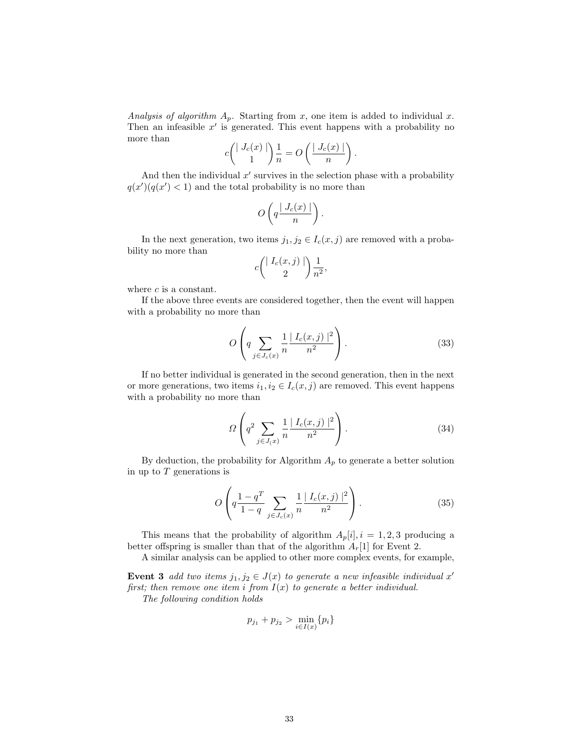Analysis of algorithm  $A_p$ . Starting from x, one item is added to individual x. Then an infeasible  $x'$  is generated. This event happens with a probability no more than

$$
c \binom{|J_c(x)|}{1} \frac{1}{n} = O \left( \frac{|J_c(x)|}{n} \right)
$$

And then the individual  $x'$  survives in the selection phase with a probability  $q(x') (q(x') < 1)$  and the total probability is no more than

$$
O\left(q\frac{\mid J_c(x)\mid}{n}\right).
$$

In the next generation, two items  $j_1, j_2 \in I_c(x, j)$  are removed with a probability no more than

$$
c\binom{\mid I_c(x,j)\mid}{2}\frac{1}{n^2},
$$

where  $c$  is a constant.

If the above three events are considered together, then the event will happen with a probability no more than

$$
O\left(q \sum_{j \in J_c(x)} \frac{1}{n} \frac{|I_c(x,j)|^2}{n^2}\right).
$$
 (33)

.

If no better individual is generated in the second generation, then in the next or more generations, two items  $i_1, i_2 \in I_c(x, j)$  are removed. This event happens with a probability no more than

$$
\Omega \left( q^2 \sum_{j \in J(x)} \frac{1}{n} \frac{|I_c(x,j)|^2}{n^2} \right). \tag{34}
$$

By deduction, the probability for Algorithm  $A_p$  to generate a better solution in up to  $T$  generations is

$$
O\left(q\frac{1-q^T}{1-q}\sum_{j\in J_c(x)}\frac{1}{n}\frac{|I_c(x,j)|^2}{n^2}\right).
$$
 (35)

This means that the probability of algorithm  $A_p[i], i = 1, 2, 3$  producing a better offspring is smaller than that of the algorithm  $A_r[1]$  for Event 2.

A similar analysis can be applied to other more complex events, for example,

Event 3 add two items  $j_1, j_2 \in J(x)$  to generate a new infeasible individual x' first; then remove one item i from  $I(x)$  to generate a better individual.

The following condition holds

$$
p_{j_1} + p_{j_2} > \min_{i \in I(x)} \{p_i\}
$$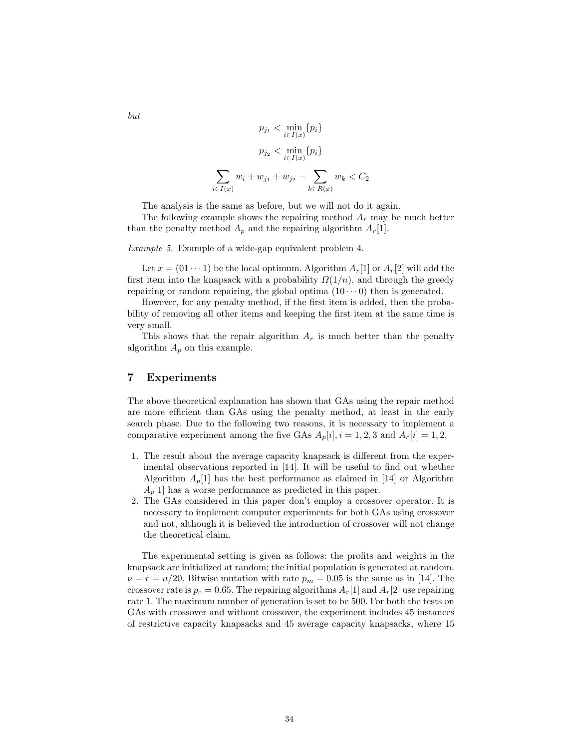$$
p_{j_1} < \min_{i \in I(x)} \{p_i\}
$$
\n
$$
p_{j_2} < \min_{i \in I(x)} \{p_i\}
$$
\n
$$
\sum_{i \in I(x)} w_i + w_{j_1} + w_{j_2} - \sum_{k \in R(x)} w_k < C_2
$$

The analysis is the same as before, but we will not do it again.

The following example shows the repairing method  $A_r$  may be much better than the penalty method  $A_p$  and the repairing algorithm  $A_r[1]$ .

Example 5. Example of a wide-gap equivalent problem 4.

Let  $x = (01 \cdots 1)$  be the local optimum. Algorithm  $A_r[1]$  or  $A_r[2]$  will add the first item into the knapsack with a probability  $\Omega(1/n)$ , and through the greedy repairing or random repairing, the global optima  $(10 \cdots 0)$  then is generated.

However, for any penalty method, if the first item is added, then the probability of removing all other items and keeping the first item at the same time is very small.

This shows that the repair algorithm  $A_r$  is much better than the penalty algorithm  $A_p$  on this example.

# 7 Experiments

The above theoretical explanation has shown that GAs using the repair method are more efficient than GAs using the penalty method, at least in the early search phase. Due to the following two reasons, it is necessary to implement a comparative experiment among the five GAs  $A_p[i], i = 1, 2, 3$  and  $A_r[i] = 1, 2$ .

- 1. The result about the average capacity knapsack is different from the experimental observations reported in [14]. It will be useful to find out whether Algorithm  $A_p[1]$  has the best performance as claimed in [14] or Algorithm  $A_p[1]$  has a worse performance as predicted in this paper.
- 2. The GAs considered in this paper don't employ a crossover operator. It is necessary to implement computer experiments for both GAs using crossover and not, although it is believed the introduction of crossover will not change the theoretical claim.

The experimental setting is given as follows: the profits and weights in the knapsack are initialized at random; the initial population is generated at random.  $\nu = r = n/20$ . Bitwise mutation with rate  $p_m = 0.05$  is the same as in [14]. The crossover rate is  $p_c = 0.65$ . The repairing algorithms  $A_r[1]$  and  $A_r[2]$  use repairing rate 1. The maximum number of generation is set to be 500. For both the tests on GAs with crossover and without crossover, the experiment includes 45 instances of restrictive capacity knapsacks and 45 average capacity knapsacks, where 15

but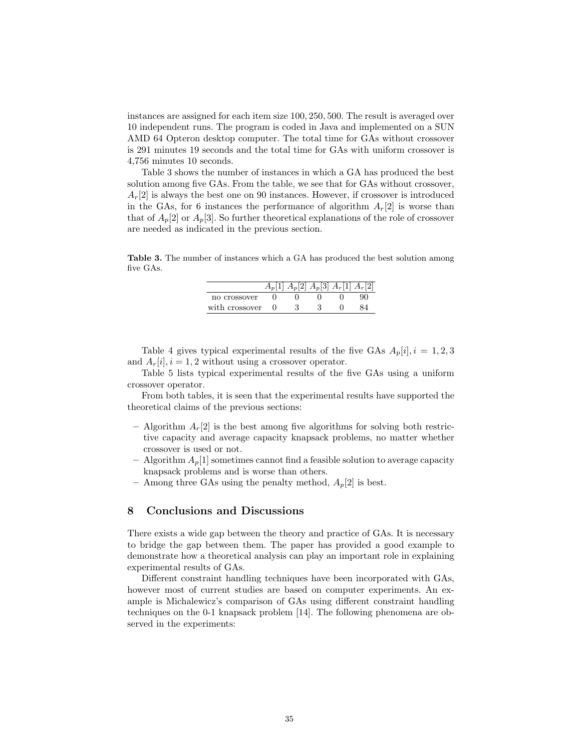instances are assigned for each item size 100, 250, 500. The result is averaged over 10 independent runs. The program is coded in Java and implemented on a SUN AMD 64 Opteron desktop computer. The total time for GAs without crossover is 291 minutes 19 seconds and the total time for GAs with uniform crossover is 4,756 minutes 10 seconds.

Table 3 shows the number of instances in which a GA has produced the best solution among five GAs. From the table, we see that for GAs without crossover,  $A_r[2]$  is always the best one on 90 instances. However, if crossover is introduced in the GAs, for 6 instances the performance of algorithm  $A_r[2]$  is worse than that of  $A_p[2]$  or  $A_p[3]$ . So further theoretical explanations of the role of crossover are needed as indicated in the previous section.

Table 3. The number of instances which a GA has produced the best solution among five GAs.

|                | $A_p[1]$ $A_p[2]$ $A_p[3]$ $A_r[1]$ $A_r[2]$ |  |  |
|----------------|----------------------------------------------|--|--|
| no crossover   |                                              |  |  |
| with crossover |                                              |  |  |

Table 4 gives typical experimental results of the five GAs  $A_p[i], i = 1, 2, 3$ and  $A_r[i], i = 1, 2$  without using a crossover operator.

Table 5 lists typical experimental results of the five GAs using a uniform crossover operator.

From both tables, it is seen that the experimental results have supported the theoretical claims of the previous sections:

- Algorithm  $A_r[2]$  is the best among five algorithms for solving both restrictive capacity and average capacity knapsack problems, no matter whether crossover is used or not.
- Algorithm  $A_p[1]$  sometimes cannot find a feasible solution to average capacity knapsack problems and is worse than others.
- Among three GAs using the penalty method,  $A_p[2]$  is best.

# 8 Conclusions and Discussions

There exists a wide gap between the theory and practice of GAs. It is necessary to bridge the gap between them. The paper has provided a good example to demonstrate how a theoretical analysis can play an important role in explaining experimental results of GAs.

Different constraint handling techniques have been incorporated with GAs, however most of current studies are based on computer experiments. An example is Michalewicz's comparison of GAs using different constraint handling techniques on the 0-1 knapsack problem [14]. The following phenomena are observed in the experiments: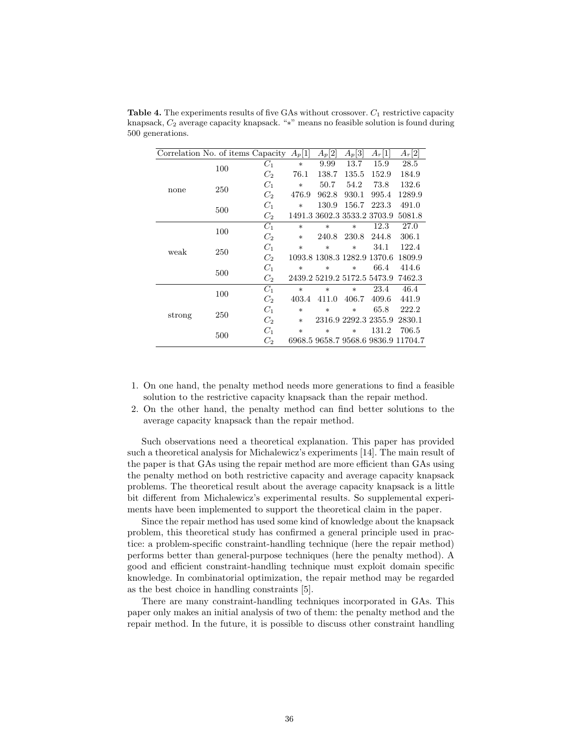|        | Correlation No. of items Capacity $A_p[1]$ |                |        | $A_p[2]$                    | $A_p[3]$             | $A_r[1]$                    | $A_r[2]$                            |
|--------|--------------------------------------------|----------------|--------|-----------------------------|----------------------|-----------------------------|-------------------------------------|
|        | 100                                        | $C_1$          | $\ast$ | 9.99                        | 13.7                 | 15.9                        | 28.5                                |
|        |                                            | $C_2$          | 76.1   | 138.7                       | 135.5                | 152.9                       | 184.9                               |
|        | 250                                        | $C_1$          | $*$    | 50.7                        | 54.2                 | 73.8                        | 132.6                               |
| none   |                                            | $C_2$          | 476.9  | 962.8                       | 930.1                | 995.4                       | 1289.9                              |
|        | 500                                        | $C_1$          | $\ast$ | 130.9                       | 156.7                | 223.3                       | 491.0                               |
|        |                                            | C <sub>2</sub> |        |                             |                      | 1491.3 3602.3 3533.2 3703.9 | 5081.8                              |
|        | 100                                        | $C_1$          | $\ast$ | $\ast$                      | $\ast$               | 12.3                        | 27.0                                |
|        |                                            | C <sub>2</sub> | $\ast$ | 240.8                       | 230.8                | 244.8                       | 306.1                               |
| weak   | 250                                        | $C_1$          | $\ast$ | $\ast$                      | $\ast$               | 34.1                        | 122.4                               |
|        |                                            | C <sub>2</sub> |        | 1093.8 1308.3 1282.9 1370.6 |                      |                             | 1809.9                              |
|        | 500                                        | $C_1$          | $*$    | $\ast$                      | $\ast$               | 66.4                        | 414.6                               |
|        |                                            | C <sub>2</sub> |        | 2439.2 5219.2 5172.5 5473.9 |                      |                             | 7462.3                              |
| strong | 100                                        | $C_1$          | $\ast$ | $\ast$                      | $\ast$               | 23.4                        | 46.4                                |
|        |                                            | C <sub>2</sub> | 403.4  | 411.0                       | 406.7                | 409.6                       | 441.9                               |
|        | 250                                        | $C_1$          | $\ast$ | $\ast$                      | $\ast$               | 65.8                        | 222.2                               |
|        |                                            | $C_2$          | $\ast$ |                             | 2316.9 2292.3 2355.9 |                             | 2830.1                              |
|        | 500                                        | $C_1$          | $\ast$ | $\ast$                      | $\ast$               | 131.2                       | 706.5                               |
|        |                                            | C <sub>2</sub> |        |                             |                      |                             | 6968.5 9658.7 9568.6 9836.9 11704.7 |

**Table 4.** The experiments results of five GAs without crossover.  $C_1$  restrictive capacity knapsack, C<sup>2</sup> average capacity knapsack. "∗" means no feasible solution is found during 500 generations.

- 1. On one hand, the penalty method needs more generations to find a feasible solution to the restrictive capacity knapsack than the repair method.
- 2. On the other hand, the penalty method can find better solutions to the average capacity knapsack than the repair method.

Such observations need a theoretical explanation. This paper has provided such a theoretical analysis for Michalewicz's experiments [14]. The main result of the paper is that GAs using the repair method are more efficient than GAs using the penalty method on both restrictive capacity and average capacity knapsack problems. The theoretical result about the average capacity knapsack is a little bit different from Michalewicz's experimental results. So supplemental experiments have been implemented to support the theoretical claim in the paper.

Since the repair method has used some kind of knowledge about the knapsack problem, this theoretical study has confirmed a general principle used in practice: a problem-specific constraint-handling technique (here the repair method) performs better than general-purpose techniques (here the penalty method). A good and efficient constraint-handling technique must exploit domain specific knowledge. In combinatorial optimization, the repair method may be regarded as the best choice in handling constraints [5].

There are many constraint-handling techniques incorporated in GAs. This paper only makes an initial analysis of two of them: the penalty method and the repair method. In the future, it is possible to discuss other constraint handling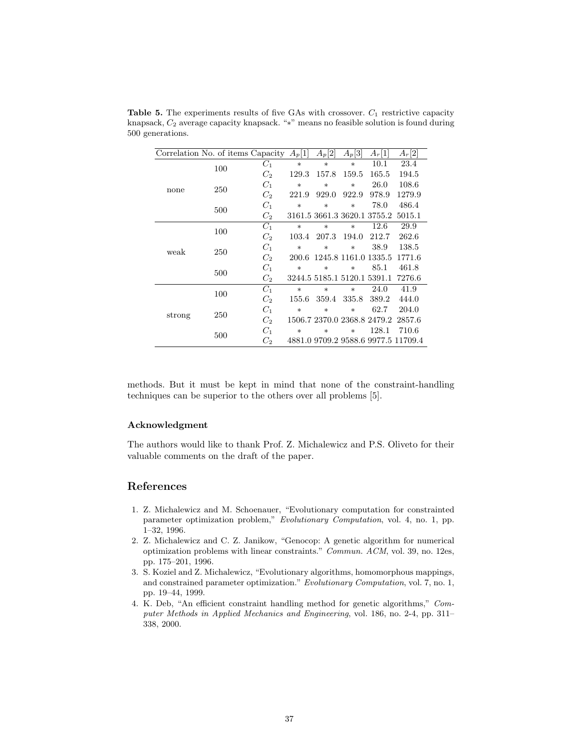|        | Correlation No. of items Capacity |                    | $A_p[1]$ | $A_p[2]$                    | $A_p[3]$ | $A_r[1]$                    | $A_r[2]$                            |
|--------|-----------------------------------|--------------------|----------|-----------------------------|----------|-----------------------------|-------------------------------------|
| none   | 100                               | $C_1$              | $\ast$   | $\ast$                      | $\ast$   | 10.1                        | 23.4                                |
|        |                                   | $C_2$              | 129.3    | 157.8                       | 159.5    | 165.5                       | 194.5                               |
|        | 250                               | $C_1$              | $\ast$   | $\ast$                      | $\ast$   | 26.0                        | 108.6                               |
|        |                                   | $C_2$              | 221.9    | 929.0                       | 922.9    | 978.9                       | 1279.9                              |
|        |                                   | $C_1$              | $\ast$   | $\ast$                      | $\ast$   | 78.0                        | 486.4                               |
|        | 500                               | C <sub>2</sub>     |          |                             |          | 3161.5 3661.3 3620.1 3755.2 | 5015.1                              |
|        | 100                               | $C_1$              | $\ast$   | $\ast$                      | $\ast$   | 12.6                        | 29.9                                |
|        |                                   | C <sub>2</sub>     | 103.4    | 207.3                       | 194.0    | 212.7                       | 262.6                               |
| weak   | 250                               | $C_1$              | $\ast$   | $\ast$                      | $\ast$   | 38.9                        | 138.5                               |
|        |                                   | $C_2$              | 200.6    | 1245.8 1161.0 1335.5        |          |                             | 1771.6                              |
|        | 500                               | $C_1$              | $\ast$   | $\ast$                      | $\ast$   | 85.1                        | 461.8                               |
|        |                                   | $C_2$              |          | 3244.5 5185.1 5120.1 5391.1 |          |                             | 7276.6                              |
|        | 100                               | $C_1$              | $\ast$   | $\ast$                      | $\ast$   | 24.0                        | 41.9                                |
| strong |                                   | $C_2$              | 155.6    | 359.4                       | 335.8    | 389.2                       | 444.0                               |
|        | 250                               | $C_1$              | $\ast$   | $\ast$                      | $\ast$   | 62.7                        | 204.0                               |
|        |                                   | $C_2$              |          | 1506.7 2370.0 2368.8 2479.2 |          |                             | 2857.6                              |
|        | 500                               | $C_1$              | $\ast$   | $*$                         | $\ast$   | 128.1                       | 710.6                               |
|        |                                   | $\scriptstyle C_2$ |          |                             |          |                             | 4881.0 9709.2 9588.6 9977.5 11709.4 |

**Table 5.** The experiments results of five GAs with crossover.  $C_1$  restrictive capacity knapsack, C<sup>2</sup> average capacity knapsack. "∗" means no feasible solution is found during 500 generations.

methods. But it must be kept in mind that none of the constraint-handling techniques can be superior to the others over all problems [5].

#### Acknowledgment

The authors would like to thank Prof. Z. Michalewicz and P.S. Oliveto for their valuable comments on the draft of the paper.

# References

- 1. Z. Michalewicz and M. Schoenauer, "Evolutionary computation for constrainted parameter optimization problem," Evolutionary Computation, vol. 4, no. 1, pp. 1–32, 1996.
- 2. Z. Michalewicz and C. Z. Janikow, "Genocop: A genetic algorithm for numerical optimization problems with linear constraints." Commun. ACM, vol. 39, no. 12es, pp. 175–201, 1996.
- 3. S. Koziel and Z. Michalewicz, "Evolutionary algorithms, homomorphous mappings, and constrained parameter optimization." Evolutionary Computation, vol. 7, no. 1, pp. 19–44, 1999.
- 4. K. Deb, "An efficient constraint handling method for genetic algorithms," Computer Methods in Applied Mechanics and Engineering, vol. 186, no. 2-4, pp. 311– 338, 2000.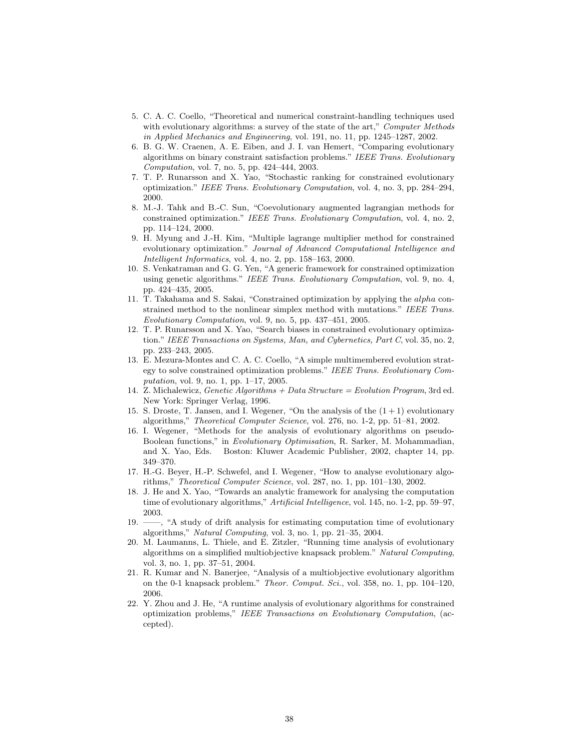- 5. C. A. C. Coello, "Theoretical and numerical constraint-handling techniques used with evolutionary algorithms: a survey of the state of the art," Computer Methods in Applied Mechanics and Engineering, vol. 191, no. 11, pp. 1245–1287, 2002.
- 6. B. G. W. Craenen, A. E. Eiben, and J. I. van Hemert, "Comparing evolutionary algorithms on binary constraint satisfaction problems." IEEE Trans. Evolutionary Computation, vol. 7, no. 5, pp. 424–444, 2003.
- 7. T. P. Runarsson and X. Yao, "Stochastic ranking for constrained evolutionary optimization." IEEE Trans. Evolutionary Computation, vol. 4, no. 3, pp. 284–294, 2000.
- 8. M.-J. Tahk and B.-C. Sun, "Coevolutionary augmented lagrangian methods for constrained optimization." IEEE Trans. Evolutionary Computation, vol. 4, no. 2, pp. 114–124, 2000.
- 9. H. Myung and J.-H. Kim, "Multiple lagrange multiplier method for constrained evolutionary optimization." Journal of Advanced Computational Intelligence and Intelligent Informatics, vol. 4, no. 2, pp. 158–163, 2000.
- 10. S. Venkatraman and G. G. Yen, "A generic framework for constrained optimization using genetic algorithms." IEEE Trans. Evolutionary Computation, vol. 9, no. 4, pp. 424–435, 2005.
- 11. T. Takahama and S. Sakai, "Constrained optimization by applying the alpha constrained method to the nonlinear simplex method with mutations." IEEE Trans. Evolutionary Computation, vol. 9, no. 5, pp. 437–451, 2005.
- 12. T. P. Runarsson and X. Yao, "Search biases in constrained evolutionary optimization." IEEE Transactions on Systems, Man, and Cybernetics, Part C, vol. 35, no. 2, pp. 233–243, 2005.
- 13. E. Mezura-Montes and C. A. C. Coello, "A simple multimembered evolution strategy to solve constrained optimization problems." IEEE Trans. Evolutionary Computation, vol. 9, no. 1, pp. 1–17, 2005.
- 14. Z. Michalewicz, Genetic Algorithms + Data Structure = Evolution Program, 3rd ed. New York: Springer Verlag, 1996.
- 15. S. Droste, T. Jansen, and I. Wegener, "On the analysis of the (1 + 1) evolutionary algorithms," Theoretical Computer Science, vol. 276, no. 1-2, pp. 51–81, 2002.
- 16. I. Wegener, "Methods for the analysis of evolutionary algorithms on pseudo-Boolean functions," in Evolutionary Optimisation, R. Sarker, M. Mohammadian, and X. Yao, Eds. Boston: Kluwer Academic Publisher, 2002, chapter 14, pp. 349–370.
- 17. H.-G. Beyer, H.-P. Schwefel, and I. Wegener, "How to analyse evolutionary algorithms," Theoretical Computer Science, vol. 287, no. 1, pp. 101–130, 2002.
- 18. J. He and X. Yao, "Towards an analytic framework for analysing the computation time of evolutionary algorithms," Artificial Intelligence, vol. 145, no. 1-2, pp. 59–97, 2003.
- 19. ——, "A study of drift analysis for estimating computation time of evolutionary algorithms," Natural Computing, vol. 3, no. 1, pp. 21–35, 2004.
- 20. M. Laumanns, L. Thiele, and E. Zitzler, "Running time analysis of evolutionary algorithms on a simplified multiobjective knapsack problem." Natural Computing, vol. 3, no. 1, pp. 37–51, 2004.
- 21. R. Kumar and N. Banerjee, "Analysis of a multiobjective evolutionary algorithm on the 0-1 knapsack problem." Theor. Comput. Sci., vol. 358, no. 1, pp. 104–120, 2006.
- 22. Y. Zhou and J. He, "A runtime analysis of evolutionary algorithms for constrained optimization problems," IEEE Transactions on Evolutionary Computation, (accepted).